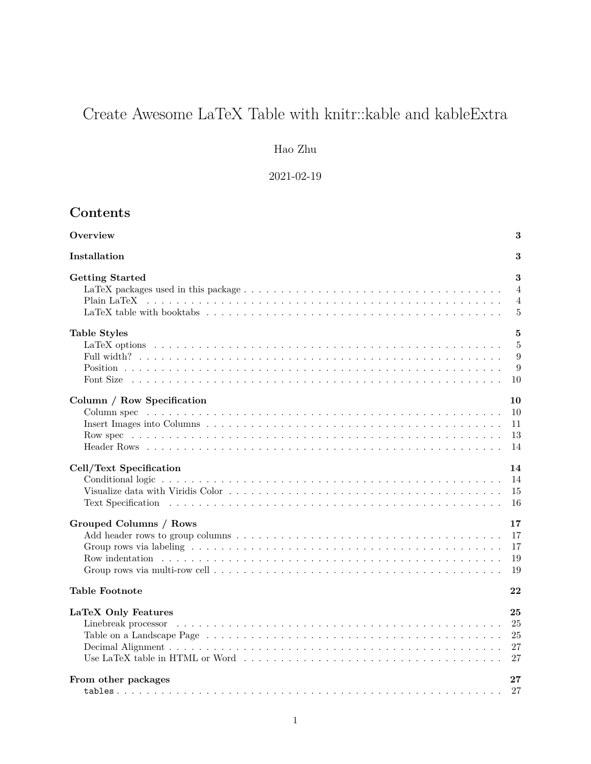# Create Awesome LaTeX Table with knitr::kable and kableExtra

# Hao Zhu

2021-02-19

# **Contents**

| Overview                                                                                                                                                                                                                       | 3                                |
|--------------------------------------------------------------------------------------------------------------------------------------------------------------------------------------------------------------------------------|----------------------------------|
| Installation                                                                                                                                                                                                                   | 3                                |
| <b>Getting Started</b>                                                                                                                                                                                                         | 3                                |
|                                                                                                                                                                                                                                | $\overline{4}$                   |
|                                                                                                                                                                                                                                | $\overline{4}$                   |
|                                                                                                                                                                                                                                | $\frac{5}{2}$                    |
| <b>Table Styles</b>                                                                                                                                                                                                            | 5                                |
|                                                                                                                                                                                                                                | $\overline{5}$                   |
|                                                                                                                                                                                                                                | 9                                |
|                                                                                                                                                                                                                                | 9                                |
| Font Size (a), a), a), a), a), and a subset of the size of the size of the size of the size of the size of the size of the size of the size of the size of the size of the size of the size of the size of the size of the siz | 10                               |
| Column / Row Specification                                                                                                                                                                                                     | 10                               |
|                                                                                                                                                                                                                                | 10                               |
|                                                                                                                                                                                                                                | 11                               |
|                                                                                                                                                                                                                                | 13                               |
|                                                                                                                                                                                                                                | 14                               |
| Cell/Text Specification                                                                                                                                                                                                        | 14                               |
|                                                                                                                                                                                                                                | 14                               |
|                                                                                                                                                                                                                                | 15                               |
|                                                                                                                                                                                                                                | 16                               |
| Grouped Columns / Rows                                                                                                                                                                                                         | 17                               |
|                                                                                                                                                                                                                                | 17                               |
|                                                                                                                                                                                                                                | 17                               |
|                                                                                                                                                                                                                                | 19                               |
|                                                                                                                                                                                                                                | 19                               |
| <b>Table Footnote</b>                                                                                                                                                                                                          | 22                               |
| LaTeX Only Features                                                                                                                                                                                                            | 25<br>25<br>25<br>27<br>27<br>27 |
| From other packages                                                                                                                                                                                                            | 27                               |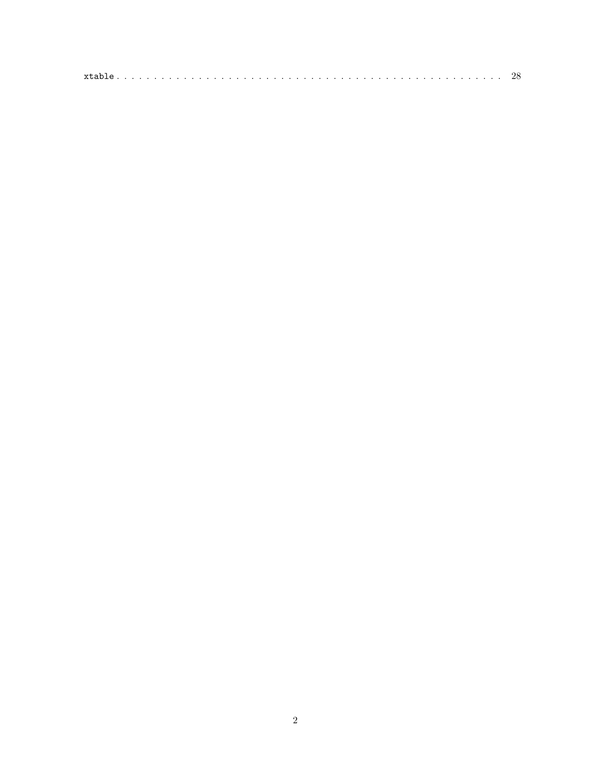| xtable. |  |  |  |  |  |  |  |  |  |  |  |  |  |  |  |  |  |  |  |  |  |  |  |  | ' اک |  |
|---------|--|--|--|--|--|--|--|--|--|--|--|--|--|--|--|--|--|--|--|--|--|--|--|--|------|--|
|         |  |  |  |  |  |  |  |  |  |  |  |  |  |  |  |  |  |  |  |  |  |  |  |  |      |  |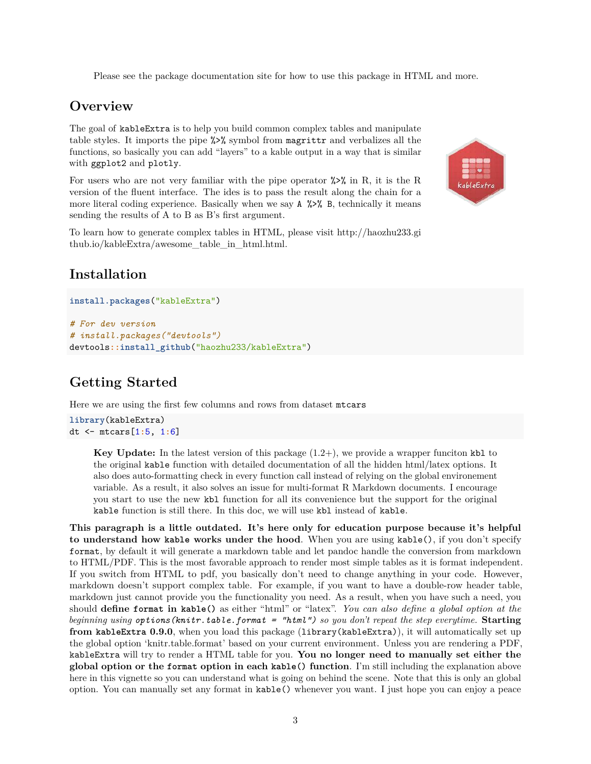Please see the package [documentation site](http://haozhu233.github.io/kableExtra) for how to use this package in HTML and more.

# <span id="page-2-0"></span>**Overview**

The goal of kableExtra is to help you build common complex tables and manipulate table styles. It imports the pipe %>% symbol from magrittr and verbalizes all the functions, so basically you can add "layers" to a kable output in a way that is similar with ggplot2 and plotly.

For users who are not very familiar with the pipe operator  $\frac{1}{2}$  in R, it is the R version of the [fluent interface.](https://en.wikipedia.org/wiki/Fluent_interface) The ides is to pass the result along the chain for a more literal coding experience. Basically when we say  $A \rightarrow \infty$  B, technically it means sending the results of A to B as B's first argument.

To learn how to generate complex tables in HTML, please visit [http://haozhu233.gi](http://haozhu233.github.io/kableExtra/awesome_table_in_html.html) [thub.io/kableExtra/awesome\\_table\\_in\\_html.html.](http://haozhu233.github.io/kableExtra/awesome_table_in_html.html)



# <span id="page-2-1"></span>**Installation**

```
install.packages("kableExtra")
# For dev version
# install.packages("devtools")
devtools::install_github("haozhu233/kableExtra")
```
# <span id="page-2-2"></span>**Getting Started**

Here we are using the first few columns and rows from dataset mtcars

```
library(kableExtra)
dt <- mtcars[1:5, 1:6]
```
**Key Update:** In the latest version of this package (1.2+), we provide a wrapper funciton kbl to the original kable function with detailed documentation of all the hidden html/latex options. It also does auto-formatting check in every function call instead of relying on the global environement variable. As a result, it also solves an issue for multi-format R Markdown documents. I encourage you start to use the new kbl function for all its convenience but the support for the original kable function is still there. In this doc, we will use kbl instead of kable.

**This paragraph is a little outdated. It's here only for education purpose because it's helpful to understand how kable works under the hood**. When you are using kable(), if you don't specify format, by default it will generate a markdown table and let pandoc handle the conversion from markdown to HTML/PDF. This is the most favorable approach to render most simple tables as it is format independent. If you switch from HTML to pdf, you basically don't need to change anything in your code. However, markdown doesn't support complex table. For example, if you want to have a double-row header table, markdown just cannot provide you the functionality you need. As a result, when you have such a need, you should **define format in kable()** as either "html" or "latex". *You can also define a global option at the beginning using options(knitr.table.format = "html") so you don't repeat the step everytime.* **Starting from kableExtra 0.9.0**, when you load this package (library(kableExtra)), it will automatically set up the global option 'knitr.table.format' based on your current environment. Unless you are rendering a PDF, kableExtra will try to render a HTML table for you. **You no longer need to manually set either the global option or the format option in each kable() function**. I'm still including the explanation above here in this vignette so you can understand what is going on behind the scene. Note that this is only an global option. You can manually set any format in kable() whenever you want. I just hope you can enjoy a peace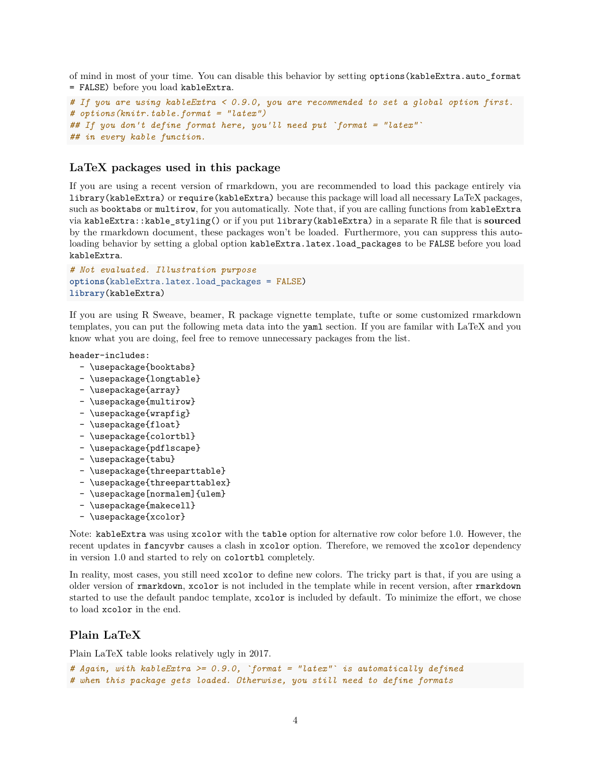of mind in most of your time. You can disable this behavior by setting options(kableExtra.auto\_format = FALSE) before you load kableExtra.

```
# If you are using kableExtra < 0.9.0, you are recommended to set a global option first.
# options(knitr.table.format = "latex")
## If you don't define format here, you'll need put `format = "latex"`
## in every kable function.
```
## <span id="page-3-0"></span>**LaTeX packages used in this package**

If you are using a recent version of rmarkdown, you are recommended to load this package entirely via library(kableExtra) or require(kableExtra) because this package will load all necessary LaTeX packages, such as booktabs or multirow, for you automatically. Note that, if you are calling functions from kableExtra via kableExtra::kable\_styling() or if you put library(kableExtra) in a separate R file that is **sourced** by the rmarkdown document, these packages won't be loaded. Furthermore, you can suppress this autoloading behavior by setting a global option kableExtra.latex.load\_packages to be FALSE before you load kableExtra.

```
# Not evaluated. Illustration purpose
options(kableExtra.latex.load_packages = FALSE)
library(kableExtra)
```
If you are using R Sweave, beamer, R package vignette template, tufte or some customized rmarkdown templates, you can put the following meta data into the yaml section. If you are familar with LaTeX and you know what you are doing, feel free to remove unnecessary packages from the list.

header-includes:

- \usepackage{booktabs}
- \usepackage{longtable}
- \usepackage{array}
- \usepackage{multirow}
- \usepackage{wrapfig}
- \usepackage{float}
- \usepackage{colortbl}
- \usepackage{pdflscape}
- \usepackage{tabu}
- \usepackage{threeparttable}
- \usepackage{threeparttablex}
- \usepackage[normalem]{ulem}
- \usepackage{makecell}
- \usepackage{xcolor}

Note: kableExtra was using xcolor with the table option for alternative row color before 1.0. However, the recent updates in fancyvbr causes a clash in xcolor option. Therefore, we removed the xcolor dependency in version 1.0 and started to rely on colortbl completely.

In reality, most cases, you still need xcolor to define new colors. The tricky part is that, if you are using a older version of rmarkdown, xcolor is not included in the template while in recent version, after rmarkdown started to use the default pandoc template, xcolor is included by default. To minimize the effort, we chose to load xcolor in the end.

# <span id="page-3-1"></span>**Plain LaTeX**

Plain LaTeX table looks relatively ugly in 2017.

```
# Again, with kableExtra >= 0.9.0, `format = "latex"` is automatically defined
# when this package gets loaded. Otherwise, you still need to define formats
```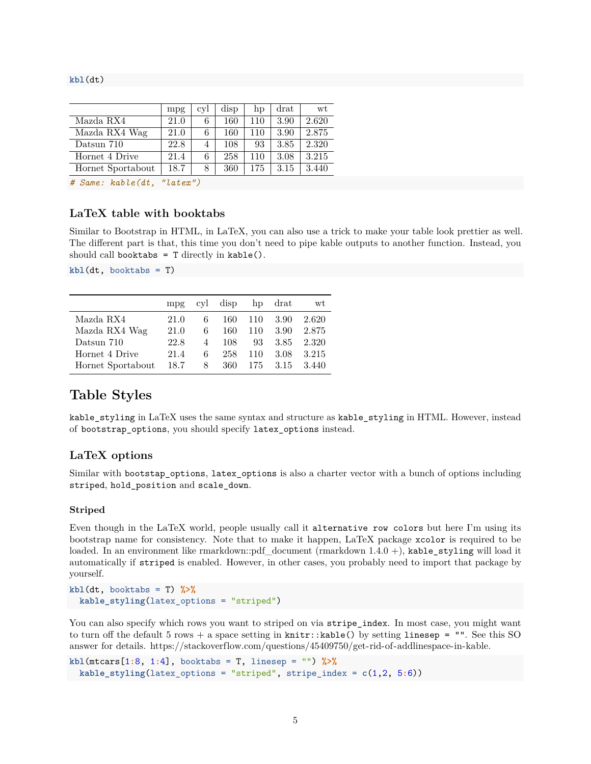#### **kbl**(dt)

|                   | mpg  | cvl | disp | hp  | drat | wt.   |
|-------------------|------|-----|------|-----|------|-------|
| Mazda RX4         | 21.0 | 6   | 160  | 110 | 3.90 | 2.620 |
| Mazda RX4 Wag     | 21.0 | 6   | 160  | 110 | 3.90 | 2.875 |
| Datsun 710        | 22.8 | 4   | 108  | 93  | 3.85 | 2.320 |
| Hornet 4 Drive    | 21.4 | 6   | 258  | 110 | 3.08 | 3.215 |
| Hornet Sportabout | 18.7 | 8   | 360  | 175 | 3.15 | 3.440 |

*# Same: kable(dt, "latex")*

# <span id="page-4-0"></span>**LaTeX table with booktabs**

Similar to Bootstrap in HTML, in LaTeX, you can also use a trick to make your table look prettier as well. The different part is that, this time you don't need to pipe kable outputs to another function. Instead, you should call booktabs =  $T$  directly in kable().

**kbl**(dt, booktabs = T)

|                   | mp <sub>g</sub> |                | cyl disp |     | hp drat | wt    |
|-------------------|-----------------|----------------|----------|-----|---------|-------|
| Mazda RX4         | 21.0            | 6              | 160      | 110 | 3.90    | 2.620 |
| Mazda RX4 Wag     | 21.0            | 6              | 160      | 110 | 3.90    | 2.875 |
| Datsun 710        | 22.8            | $\overline{4}$ | 108      | 93  | 3.85    | 2.320 |
| Hornet 4 Drive    | 21.4            | 6              | 258      | 110 | 3.08    | 3.215 |
| Hornet Sportabout | 18.7            | 8.             | 360      | 175 | 3.15    | 3.440 |

# <span id="page-4-1"></span>**Table Styles**

kable\_styling in LaTeX uses the same syntax and structure as kable\_styling in HTML. However, instead of bootstrap\_options, you should specify latex\_options instead.

## <span id="page-4-2"></span>**LaTeX options**

Similar with bootstap\_options, latex\_options is also a charter vector with a bunch of options including striped, hold\_position and scale\_down.

#### **Striped**

Even though in the LaTeX world, people usually call it alternative row colors but here I'm using its bootstrap name for consistency. Note that to make it happen, LaTeX package xcolor is required to be loaded. In an environment like rmarkdown::pdf\_document (rmarkdown 1.4.0 +), kable\_styling will load it automatically if striped is enabled. However, in other cases, you probably need to import that package by yourself.

```
kbl(dt, booktabs = T) %>%
 kable_styling(latex_options = "striped")
```
You can also specify which rows you want to striped on via stripe\_index. In most case, you might want to turn off the default 5 rows + a space setting in knitr::kable() by setting linesep =  $"$ . See this SO answer for details. [https://stackoverflow.com/questions/45409750/get-rid-of-addlinespace-in-kable.](https://stackoverflow.com/questions/45409750/get-rid-of-addlinespace-in-kable)

```
kbl(mtcars[1:8, 1:4], booktabs = T, linesep = "") %>%
  kable_styling(latex_options = "striped", stripe_index = c(1,2, 5:6))
```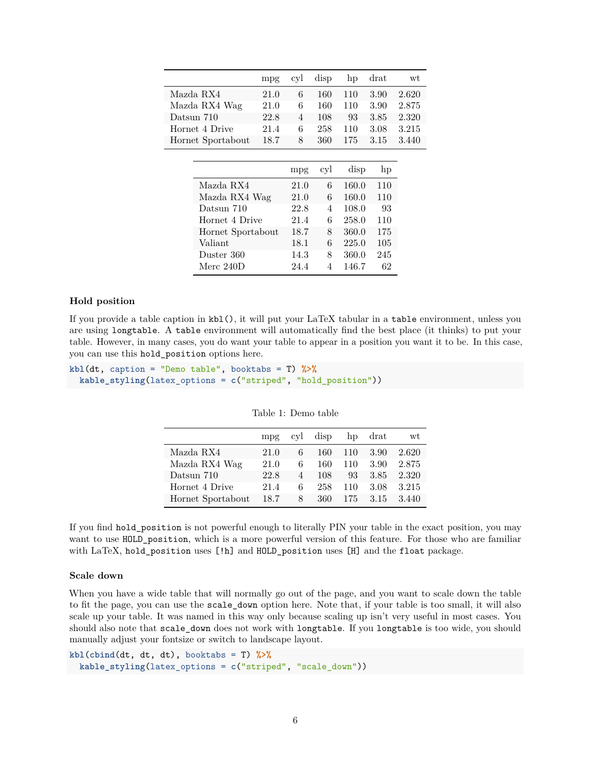|                   | mpg  | cyl  | disp | hp    | $drat$ | wt        |
|-------------------|------|------|------|-------|--------|-----------|
| Mazda RX4         | 21.0 | 6    | 160  | 110   | 3.90   | 2.620     |
| Mazda RX4 Wag     | 21.0 | 6    | 160  | 110   | 3.90   | 2.875     |
| Datsun 710        | 22.8 | 4    | 108  | 93    | 3.85   | 2.320     |
| Hornet 4 Drive    | 21.4 | 6    | 258  | 110   | 3.08   | $3.215\,$ |
| Hornet Sportabout | 18.7 | 8    | 360  | 175   | 3.15   | 3.440     |
|                   |      |      |      |       |        |           |
|                   |      | mpg  | cyl  | disp  | hp     |           |
| Mazda RX4         |      | 21.0 | 6    | 160.0 | 110    |           |
| Mazda RX4 Wag     |      | 21.0 | 6    | 160.0 | 110    |           |
| Datsun 710        |      | 22.8 | 4    | 108.0 | 93     |           |
| Hornet 4 Drive    |      | 21.4 | 6    | 258.0 | 110    |           |
| Hornet Sportabout |      | 18.7 | 8    | 360.0 | 175    |           |
| Valiant           |      | 18.1 | 6    | 225.0 | 105    |           |
| Duster 360        |      | 14.3 | 8    | 360.0 | 245    |           |
| Merc 240D         |      | 24.4 | 4    | 146.7 | 62     |           |
|                   |      |      |      |       |        |           |

#### **Hold position**

If you provide a table caption in kbl(), it will put your LaTeX tabular in a table environment, unless you are using longtable. A table environment will automatically find the best place (it thinks) to put your table. However, in many cases, you do want your table to appear in a position you want it to be. In this case, you can use this hold\_position options here.

**kbl**(dt, caption = "Demo table", booktabs = T) **%>% kable\_styling**(latex\_options = **c**("striped", "hold\_position"))

|                   | mpr  | cyl            | disp | hp  | drat | wt    |
|-------------------|------|----------------|------|-----|------|-------|
| Mazda RX4         | 21.0 | 6              | 160  | 110 | 3.90 | 2.620 |
| Mazda RX4 Wag     | 21.0 | 6              | 160  | 110 | 3.90 | 2.875 |
| Datsun 710        | 22.8 | $\overline{4}$ | 108  | 93  | 3.85 | 2.320 |
| Hornet 4 Drive    | 21.4 | 6              | 258  | 110 | 3.08 | 3.215 |
| Hornet Sportabout | 18.7 | 8              | 360  | 175 | 3.15 | 3.440 |

Table 1: Demo table

If you find hold\_position is not powerful enough to literally PIN your table in the exact position, you may want to use HOLD\_position, which is a more powerful version of this feature. For those who are familiar with LaTeX, hold\_position uses [!h] and HOLD\_position uses [H] and the float package.

#### **Scale down**

When you have a wide table that will normally go out of the page, and you want to scale down the table to fit the page, you can use the scale\_down option here. Note that, if your table is too small, it will also scale up your table. It was named in this way only because scaling up isn't very useful in most cases. You should also note that scale\_down does not work with longtable. If you longtable is too wide, you should manually adjust your fontsize or switch to landscape layout.

```
kbl(cbind(dt, dt, dt), booktabs = T) %>%
  kable_styling(latex_options = c("striped", "scale_down"))
```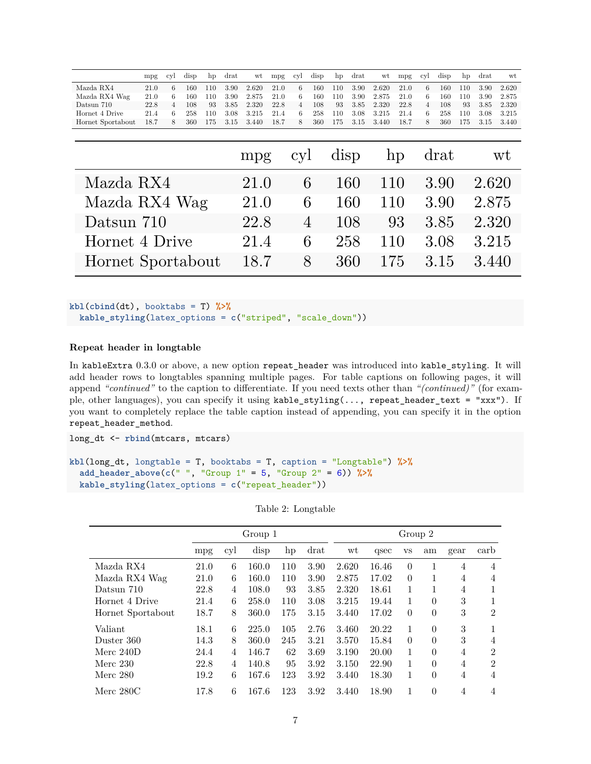|                   | mpg  | cyl            | disp | hp   | $drat$ | wt    | mpg  | cyl | disp | hp   | $drat$ | wt    | mpg  | cyl            | $\rm{disp}$ | hp    | drat  | wt    |
|-------------------|------|----------------|------|------|--------|-------|------|-----|------|------|--------|-------|------|----------------|-------------|-------|-------|-------|
| Mazda RX4         | 21.0 | 6              | 160  | 110  | 3.90   | 2.620 | 21.0 | 6   | 160  | 110  | 3.90   | 2.620 | 21.0 | 6              | 160         | 110   | 3.90  | 2.620 |
| Mazda RX4 Wag     | 21.0 | 6.             | 160  | 110  | 3.90   | 2.875 | 21.0 | 6   | 160  | 110  | 3.90   | 2.875 | 21.0 | 6              | 160         | 110   | 3.90  | 2.875 |
| Datsun 710        | 22.8 | $\overline{4}$ | 108  | 93   | 3.85   | 2.320 | 22.8 | 4   | 108  | 93   | 3.85   | 2.320 | 22.8 | $\overline{4}$ | 108         | 93    | 3.85  | 2.320 |
| Hornet 4 Drive    | 21.4 | 6              | 258  | 110  | 3.08   | 3.215 | 21.4 | 6   | 258  | 110  | 3.08   | 3.215 | 21.4 | 6              | 258         | 110   | 3.08  | 3.215 |
| Hornet Sportabout | 18.7 | 8              | 360  | 175  | 3.15   | 3.440 | 18.7 | 8   | 360  | 175  | 3.15   | 3.440 | 18.7 | 8              | 360         | 175   | 3.15  | 3.440 |
|                   |      |                |      |      |        |       |      |     |      |      |        |       |      |                |             |       |       |       |
|                   |      |                |      |      |        | mpg   |      | cyl |      | disp |        |       | hp   |                | drat        |       |       | wt    |
| Mazda RX4         |      |                |      |      |        | 21.0  |      |     | 6    |      | 160    | 110   |      |                | 3.90        |       | 2.620 |       |
| Mazda RX4 Wag     |      |                |      |      |        | 21.0  |      |     | 6    |      | 160    | 110   |      |                | 3.90        |       | 2.875 |       |
| Datsun 710        |      |                |      |      | 22.8   |       |      | 4   |      | 108  |        | 93    |      | 3.85           |             | 2.320 |       |       |
| Hornet 4 Drive    |      |                |      | 21.4 |        |       | 6    |     | 258  | 110  |        |       | 3.08 |                | 3.215       |       |       |       |
|                   |      |                |      |      |        |       |      |     |      |      |        |       |      |                |             |       |       |       |

 $kb1$ ( $cbind(dt)$ , booktabs = T)  $\frac{9}{6}$ **kable\_styling**(latex\_options = **c**("striped", "scale\_down"))

#### **Repeat header in longtable**

In kableExtra 0.3.0 or above, a new option repeat\_header was introduced into kable\_styling. It will add header rows to longtables spanning multiple pages. For table captions on following pages, it will append *"continued"* to the caption to differentiate. If you need texts other than *"(continued)"* (for example, other languages), you can specify it using kable\_styling(..., repeat\_header\_text = "xxx"). If you want to completely replace the table caption instead of appending, you can specify it in the option repeat\_header\_method.

long\_dt <- **rbind**(mtcars, mtcars)

```
kbl(long_dt, longtable = T, booktabs = T, caption = "Longtable") %>%
  add_header_above(c(" ", "Group 1" = 5, "Group 2" = 6)) %>%
  kable_styling(latex_options = c("repeat_header"))
```

|                   |      |     | Group 1 |     |      | Group 2 |       |              |          |                |                |  |  |
|-------------------|------|-----|---------|-----|------|---------|-------|--------------|----------|----------------|----------------|--|--|
|                   | mpg  | cyl | disp    | hp  | drat | wt      | qsec  | $_{\rm VS}$  | am       | gear           | carb           |  |  |
| Mazda RX4         | 21.0 | 6   | 160.0   | 110 | 3.90 | 2.620   | 16.46 | $\theta$     | 1        | $\overline{4}$ | $\overline{4}$ |  |  |
| Mazda RX4 Wag     | 21.0 | 6   | 160.0   | 110 | 3.90 | 2.875   | 17.02 | $\Omega$     | 1        | 4              | $\overline{4}$ |  |  |
| Datsun 710        | 22.8 | 4   | 108.0   | 93  | 3.85 | 2.320   | 18.61 | 1            |          | 4              | 1              |  |  |
| Hornet 4 Drive    | 21.4 | 6   | 258.0   | 110 | 3.08 | 3.215   | 19.44 | 1            | $\theta$ | 3              | 1              |  |  |
| Hornet Sportabout | 18.7 | 8   | 360.0   | 175 | 3.15 | 3.440   | 17.02 | $\theta$     | $\theta$ | 3              | $\overline{2}$ |  |  |
| Valiant           | 18.1 | 6   | 225.0   | 105 | 2.76 | 3.460   | 20.22 | 1            | $\theta$ | 3              | 1              |  |  |
| Duster 360        | 14.3 | 8   | 360.0   | 245 | 3.21 | 3.570   | 15.84 | $\Omega$     | $\theta$ | 3              | 4              |  |  |
| Merc $240D$       | 24.4 | 4   | 146.7   | 62  | 3.69 | 3.190   | 20.00 | 1            | $\theta$ | 4              | $\overline{2}$ |  |  |
| Merc $230$        | 22.8 | 4   | 140.8   | 95  | 3.92 | 3.150   | 22.90 | $\mathbf{1}$ | $\theta$ | $\overline{4}$ | $\overline{2}$ |  |  |
| Merc $280$        | 19.2 | 6   | 167.6   | 123 | 3.92 | 3.440   | 18.30 | 1            | $\theta$ | $\overline{4}$ | $\overline{4}$ |  |  |
| Merc 280C         | 17.8 | 6   | 167.6   | 123 | 3.92 | 3.440   | 18.90 | 1            | $\theta$ | 4              | $\overline{4}$ |  |  |

|  | Table 2: Longtable |
|--|--------------------|
|--|--------------------|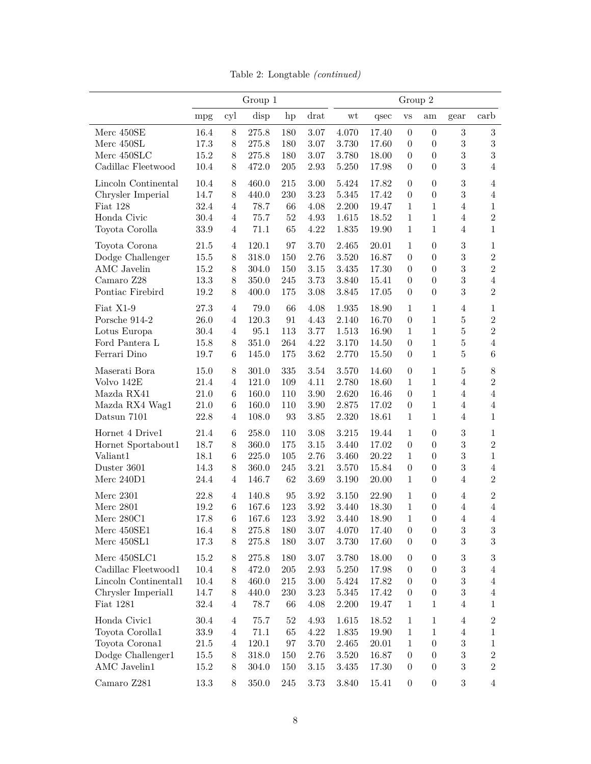|                      | Group 1  |                |           |             |          |           | Group 2   |                  |                  |                  |                |  |  |  |
|----------------------|----------|----------------|-----------|-------------|----------|-----------|-----------|------------------|------------------|------------------|----------------|--|--|--|
|                      | mpg      | cyl            | disp      | hp          | drat     | wt        | qsec      | $_{\rm VS}$      | am               | gear             | carb           |  |  |  |
| Merc 450SE           | 16.4     | 8              | 275.8     | 180         | 3.07     | 4.070     | 17.40     | $\boldsymbol{0}$ | $\overline{0}$   | $\sqrt{3}$       | $\sqrt{3}$     |  |  |  |
| Merc 450SL           | 17.3     | $8\,$          | $275.8\,$ | 180         | 3.07     | 3.730     | 17.60     | $\boldsymbol{0}$ | $\boldsymbol{0}$ | $\sqrt{3}$       | $\sqrt{3}$     |  |  |  |
| Merc $450\rm SLC$    | 15.2     | 8              | 275.8     | 180         | $3.07\,$ | 3.780     | 18.00     | $\boldsymbol{0}$ | $\boldsymbol{0}$ | $\overline{3}$   | $\sqrt{3}$     |  |  |  |
| Cadillac Fleetwood   | 10.4     | 8              | 472.0     | 205         | 2.93     | 5.250     | 17.98     | $\overline{0}$   | $\boldsymbol{0}$ | $\sqrt{3}$       | $\overline{4}$ |  |  |  |
| Lincoln Continental  | 10.4     | $8\,$          | 460.0     | $215\,$     | 3.00     | 5.424     | 17.82     | $\boldsymbol{0}$ | $\boldsymbol{0}$ | $\sqrt{3}$       | $\overline{4}$ |  |  |  |
| Chrysler Imperial    | 14.7     | 8              | 440.0     | $230\,$     | 3.23     | $5.345\,$ | 17.42     | $\boldsymbol{0}$ | $\boldsymbol{0}$ | $\sqrt{3}$       | $\overline{4}$ |  |  |  |
| Fiat 128             | 32.4     | $\overline{4}$ | 78.7      | 66          | 4.08     | 2.200     | 19.47     | $\mathbf{1}$     | $\mathbf{1}$     | $\overline{4}$   | $\mathbf{1}$   |  |  |  |
| Honda Civic          | 30.4     | $\overline{4}$ | 75.7      | $52\,$      | 4.93     | 1.615     | 18.52     | $\mathbf{1}$     | $\mathbf{1}$     | $\overline{4}$   | $\overline{2}$ |  |  |  |
| Toyota Corolla       | 33.9     | $\overline{4}$ | 71.1      | 65          | 4.22     | 1.835     | 19.90     | $\mathbf{1}$     | $\mathbf{1}$     | $\overline{4}$   | $\mathbf{1}$   |  |  |  |
| Toyota Corona        | 21.5     | $\overline{4}$ | 120.1     | 97          | 3.70     | 2.465     | 20.01     | $\mathbf{1}$     | $\boldsymbol{0}$ | $\sqrt{3}$       | $\mathbf{1}$   |  |  |  |
| Dodge Challenger     | 15.5     | 8              | 318.0     | 150         | 2.76     | 3.520     | 16.87     | $\boldsymbol{0}$ | $\boldsymbol{0}$ | $\sqrt{3}$       | $\,2$          |  |  |  |
| <b>AMC</b> Javelin   | 15.2     | $8\,$          | 304.0     | 150         | $3.15\,$ | 3.435     | 17.30     | $\boldsymbol{0}$ | $\boldsymbol{0}$ | $\overline{3}$   | $\,2$          |  |  |  |
| Camaro Z28           | 13.3     | $8\,$          | 350.0     | 245         | 3.73     | 3.840     | 15.41     | $\boldsymbol{0}$ | $\boldsymbol{0}$ | $\overline{3}$   | $\sqrt{4}$     |  |  |  |
| Pontiac Firebird     | 19.2     | $8\,$          | 400.0     | 175         | 3.08     | 3.845     | 17.05     | $\boldsymbol{0}$ | $\overline{0}$   | $\overline{3}$   | $\overline{2}$ |  |  |  |
|                      |          |                |           |             |          |           |           |                  |                  |                  |                |  |  |  |
| Fiat X1-9            | 27.3     | $\overline{4}$ | 79.0      | 66          | 4.08     | 1.935     | 18.90     | $\mathbf{1}$     | $1\,$            | $\overline{4}$   | 1              |  |  |  |
| Porsche 914-2        | 26.0     | $\overline{4}$ | 120.3     | 91          | 4.43     | 2.140     | 16.70     | $\boldsymbol{0}$ | $\,1\,$          | $\bf 5$          | $\overline{2}$ |  |  |  |
| Lotus Europa         | 30.4     | $\overline{4}$ | 95.1      | 113         | 3.77     | 1.513     | 16.90     | $\mathbf{1}$     | $\mathbf{1}$     | $\bf 5$          | $\overline{2}$ |  |  |  |
| Ford Pantera L       | 15.8     | $8\,$          | 351.0     | ${\bf 264}$ | 4.22     | 3.170     | 14.50     | $\boldsymbol{0}$ | $\mathbf{1}$     | $\bf 5$          | $\overline{4}$ |  |  |  |
| Ferrari Dino         | 19.7     | 6              | 145.0     | 175         | 3.62     | 2.770     | 15.50     | $\boldsymbol{0}$ | $1\,$            | $\bf 5$          | $\,6$          |  |  |  |
| Maserati Bora        | 15.0     | $8\,$          | 301.0     | 335         | 3.54     | 3.570     | 14.60     | $\boldsymbol{0}$ | $\mathbf{1}$     | $\bf 5$          | $8\,$          |  |  |  |
| Volvo 142E           | 21.4     | $\overline{4}$ | 121.0     | 109         | 4.11     | 2.780     | 18.60     | $\mathbf{1}$     | $\,1\,$          | $\overline{4}$   | $\overline{2}$ |  |  |  |
| Mazda RX41           | 21.0     | $\,6\,$        | 160.0     | 110         | 3.90     | 2.620     | 16.46     | $\boldsymbol{0}$ | $1\,$            | $\overline{4}$   | $\overline{4}$ |  |  |  |
| Mazda RX4 Wag1       | 21.0     | $\,6\,$        | 160.0     | 110         | $3.90\,$ | 2.875     | 17.02     | $\boldsymbol{0}$ | $1\,$            | $\overline{4}$   | $\overline{4}$ |  |  |  |
| Datsun 7101          | 22.8     | $\overline{4}$ | 108.0     | 93          | 3.85     | 2.320     | 18.61     | $\mathbf{1}$     | $\mathbf{1}$     | $\overline{4}$   | $\mathbf{1}$   |  |  |  |
| Hornet 4 Drive1      | 21.4     | 6              | 258.0     | 110         | 3.08     | $3.215\,$ | 19.44     | $\mathbf{1}$     | $\theta$         | $\sqrt{3}$       | $\mathbf{1}$   |  |  |  |
| Hornet Sportabout1   | 18.7     | 8              | 360.0     | 175         | $3.15\,$ | 3.440     | 17.02     | $\overline{0}$   | $\boldsymbol{0}$ | $\overline{3}$   | $\overline{2}$ |  |  |  |
| Valiant1             | 18.1     | 6              | 225.0     | 105         | 2.76     | 3.460     | 20.22     | $\mathbf{1}$     | $\boldsymbol{0}$ | $\overline{3}$   | $\mathbf{1}$   |  |  |  |
| Duster 3601          | 14.3     | 8              | 360.0     | 245         | $3.21\,$ | 3.570     | 15.84     | $\boldsymbol{0}$ | $\boldsymbol{0}$ | $\sqrt{3}$       | $\overline{4}$ |  |  |  |
|                      |          |                |           |             |          |           |           |                  |                  |                  | $\overline{2}$ |  |  |  |
| Merc $240D1$         | $24.4\,$ | 4              | 146.7     | $62\,$      | $3.69\,$ | $3.190\,$ | 20.00     | $\mathbf{1}$     | $\boldsymbol{0}$ | $\overline{4}$   |                |  |  |  |
| Merc $2301$          | 22.8     | $\overline{4}$ | 140.8     | 95          | 3.92     | 3.150     | 22.90     | $\mathbf{1}$     | $\boldsymbol{0}$ | $\overline{4}$   | $\overline{2}$ |  |  |  |
| <b>Merc 2801</b>     | 19.2     | $\,6\,$        | 167.6     | 123         | $3.92\,$ | 3.440     | 18.30     | $\mathbf{1}$     | $\boldsymbol{0}$ | $\overline{4}$   | $\overline{4}$ |  |  |  |
| Merc 280C1           | 17.8     | 6              | 167.6     | 123         | $3.92\,$ | 3.440     | 18.90     | $\mathbf{1}$     | 0                | 4                | 4              |  |  |  |
| Merc 450SE1          | 16.4     | 8              | 275.8     | 180         | 3.07     | 4.070     | 17.40     | $\boldsymbol{0}$ | $\boldsymbol{0}$ | $\sqrt{3}$       | $\sqrt{3}$     |  |  |  |
| Merc 450SL1          | 17.3     | 8              | 275.8     | 180         | 3.07     | 3.730     | 17.60     | $\boldsymbol{0}$ | $\boldsymbol{0}$ | 3                | $\sqrt{3}$     |  |  |  |
| Merc 450SLC1         | 15.2     | 8              | 275.8     | 180         | 3.07     | 3.780     | 18.00     | $\boldsymbol{0}$ | $\boldsymbol{0}$ | 3                | $\sqrt{3}$     |  |  |  |
| Cadillac Fleetwood1  | 10.4     | $8\,$          | 472.0     | 205         | 2.93     | 5.250     | $17.98\,$ | $\boldsymbol{0}$ | $\theta$         | 3                | 4              |  |  |  |
| Lincoln Continental1 | 10.4     | 8              | 460.0     | 215         | 3.00     | 5.424     | 17.82     | $\boldsymbol{0}$ | $\boldsymbol{0}$ | $\boldsymbol{3}$ | $\overline{4}$ |  |  |  |
| Chrysler Imperial1   | 14.7     | $8\,$          | 440.0     | 230         | 3.23     | 5.345     | 17.42     | $\boldsymbol{0}$ | $\boldsymbol{0}$ | $\boldsymbol{3}$ | 4              |  |  |  |
| Fiat 1281            | 32.4     | $\overline{4}$ | 78.7      | 66          | 4.08     | 2.200     | 19.47     | $\mathbf{1}$     | 1                | 4                | 1              |  |  |  |
| Honda Civic1         | $30.4\,$ | $\overline{4}$ | 75.7      | $52\,$      | 4.93     | 1.615     | 18.52     | 1                | 1                | 4                | $\overline{c}$ |  |  |  |
| Toyota Corolla1      | 33.9     | $\overline{4}$ | 71.1      | 65          | 4.22     | 1.835     | 19.90     | $\mathbf{1}$     | 1                | 4                | 1              |  |  |  |
| Toyota Corona1       | 21.5     | 4              | 120.1     | 97          | 3.70     | 2.465     | 20.01     | $\mathbf{1}$     | $\boldsymbol{0}$ | $\overline{3}$   | 1              |  |  |  |
| Dodge Challenger1    |          |                |           |             |          |           |           | $\boldsymbol{0}$ | $\boldsymbol{0}$ | 3                | $\overline{2}$ |  |  |  |
|                      | 15.5     | $8\,$          | 318.0     | 150         | 2.76     | 3.520     | 16.87     |                  |                  |                  | $\overline{2}$ |  |  |  |
| AMC Javelin1         | 15.2     | 8              | 304.0     | 150         | 3.15     | 3.435     | 17.30     | $\boldsymbol{0}$ | $\boldsymbol{0}$ | $\sqrt{3}$       |                |  |  |  |
| Camaro Z281          | 13.3     | 8              | 350.0     | 245         | 3.73     | 3.840     | 15.41     | $\boldsymbol{0}$ | $\boldsymbol{0}$ | $\boldsymbol{3}$ | 4              |  |  |  |

Table 2: Longtable *(continued)*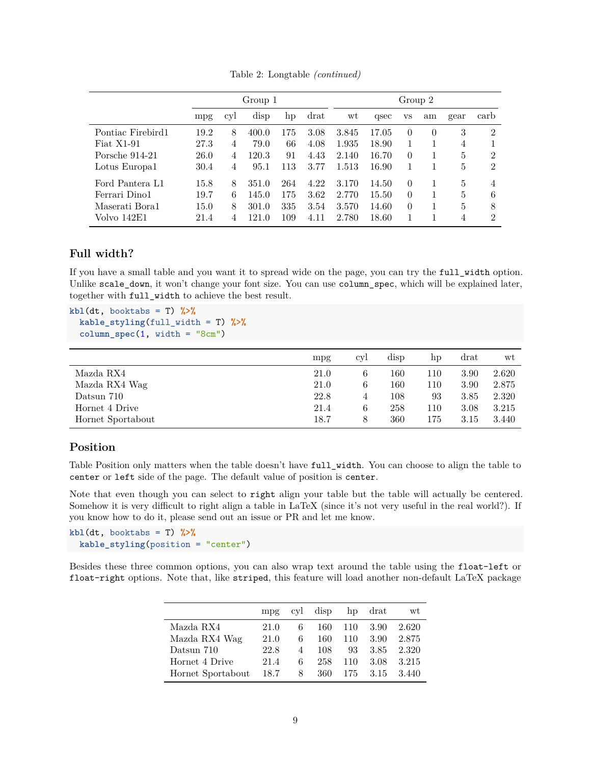|                   |      |     | Group 1 |     |      | Group 2 |       |          |          |      |                |  |  |  |  |
|-------------------|------|-----|---------|-----|------|---------|-------|----------|----------|------|----------------|--|--|--|--|
|                   | mpg  | cyl | disp    | hp  | drat | wt      | qsec  | VS       | am       | gear | carb           |  |  |  |  |
| Pontiac Firebird1 | 19.2 | 8   | 400.0   | 175 | 3.08 | 3.845   | 17.05 | $\Omega$ | $\Omega$ | 3    | $\overline{2}$ |  |  |  |  |
| Fiat $X1-91$      | 27.3 | 4   | 79.0    | 66  | 4.08 | 1.935   | 18.90 |          |          | 4    |                |  |  |  |  |
| Porsche 914-21    | 26.0 | 4   | 120.3   | 91  | 4.43 | 2.140   | 16.70 | $\Omega$ |          | 5    | $\mathfrak{D}$ |  |  |  |  |
| Lotus Europa1     | 30.4 | 4   | 95.1    | 113 | 3.77 | 1.513   | 16.90 |          |          | 5    | $\overline{2}$ |  |  |  |  |
| Ford Pantera L1   | 15.8 | 8   | 351.0   | 264 | 4.22 | 3.170   | 14.50 | $\Omega$ |          | 5    | $\overline{4}$ |  |  |  |  |
| Ferrari Dino1     | 19.7 | 6   | 145.0   | 175 | 3.62 | 2.770   | 15.50 | $\Omega$ |          | 5    | 6              |  |  |  |  |
| Maserati Bora1    | 15.0 | 8   | 301.0   | 335 | 3.54 | 3.570   | 14.60 | $\Omega$ |          | 5    | 8              |  |  |  |  |
| Volvo 142E1       | 21.4 | 4   | 121.0   | 109 | 4.11 | 2.780   | 18.60 |          |          | 4    | $\mathfrak{D}$ |  |  |  |  |

Table 2: Longtable *(continued)*

#### <span id="page-8-0"></span>**Full width?**

If you have a small table and you want it to spread wide on the page, you can try the full\_width option. Unlike scale\_down, it won't change your font size. You can use column\_spec, which will be explained later, together with full\_width to achieve the best result.

**kbl**(dt, booktabs = T) **%>% kable\_styling**(full\_width = T) **%>% column\_spec**(1, width = "8cm")

|                   | mpg  | cyl | disp | hp  | drat | wt    |
|-------------------|------|-----|------|-----|------|-------|
| Mazda RX4         | 21.0 | 6   | 160  | 110 | 3.90 | 2.620 |
| Mazda RX4 Wag     | 21.0 | 6   | 160  | 110 | 3.90 | 2.875 |
| Datsun 710        | 22.8 | 4   | 108  | 93  | 3.85 | 2.320 |
| Hornet 4 Drive    | 21.4 | 6   | 258  | 110 | 3.08 | 3.215 |
| Hornet Sportabout | 18.7 |     | 360  | 175 | 3.15 | 3.440 |

## <span id="page-8-1"></span>**Position**

Table Position only matters when the table doesn't have full\_width. You can choose to align the table to center or left side of the page. The default value of position is center.

Note that even though you can select to right align your table but the table will actually be centered. Somehow it is very difficult to right align a table in LaTeX (since it's not very useful in the real world?). If you know how to do it, please send out an issue or PR and let me know.

```
kb1(dt, booktabs = T) %>%
  kable_styling(position = "center")
```
Besides these three common options, you can also wrap text around the table using the float-left or float-right options. Note that, like striped, this feature will load another non-default LaTeX package

|                   | mp <sub>g</sub> | cvl | disp |     | hp drat | wt      |
|-------------------|-----------------|-----|------|-----|---------|---------|
| Mazda RX4         | 21.0            | 6   | 160  | 110 | 3.90    | 2.620   |
| Mazda RX4 Wag     | 21.0            | 6   | 160  | 110 | 3.90    | 2.875   |
| Datsun 710        | 22.8            | 4   | 108  | 93  | 3.85    | 2.320   |
| Hornet 4 Drive    | 21.4            | 6.  | 258  | 110 | 3.08    | 3.215   |
| Hornet Sportabout | 18.7            | 8   | 360  | 175 | -3.15   | - 3.440 |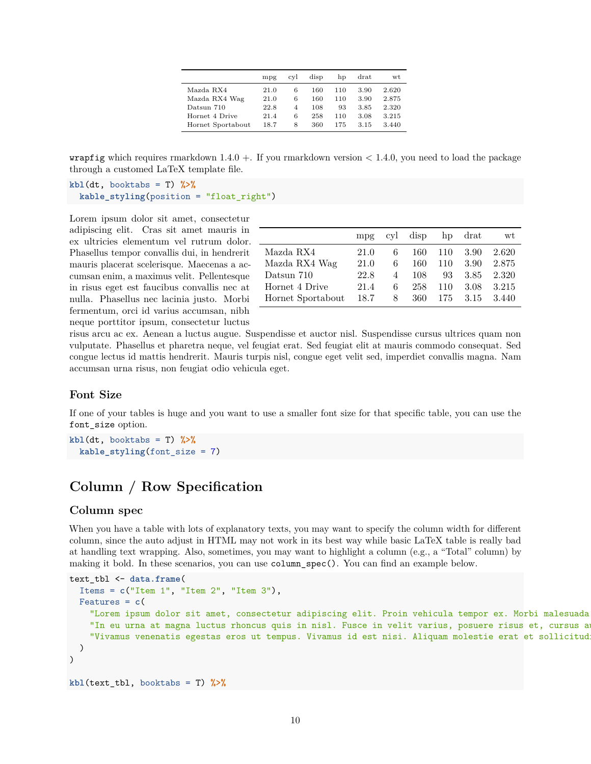|                   | mpg  | cvl | disp | hp  | $_{\rm{drat}}$ | wt    |
|-------------------|------|-----|------|-----|----------------|-------|
| Mazda RX4         | 21.0 | 6   | 160  | 110 | 3.90           | 2.620 |
| Mazda RX4 Wag     | 21.0 | 6   | 160  | 110 | 3.90           | 2.875 |
| Datsun 710        | 22.8 | 4   | 108  | 93  | 3.85           | 2.320 |
| Hornet 4 Drive    | 21.4 | 6   | 258  | 110 | 3.08           | 3.215 |
| Hornet Sportabout | 18.7 | 8   | 360  | 175 | 3.15           | 3.440 |

**wrapfig** which requires rmarkdown  $1.4.0 +$ . If you rmarkdown version  $\lt 1.4.0$ , you need to load the package through a customed LaTeX template file.

```
kbl(dt, booktabs = T) %>%
  kable_styling(position = "float_right")
```
Lorem ipsum dolor sit amet, consectetur adipiscing elit. Cras sit amet mauris in ex ultricies elementum vel rutrum dolor. Phasellus tempor convallis dui, in hendrerit mauris placerat scelerisque. Maecenas a accumsan enim, a maximus velit. Pellentesque in risus eget est faucibus convallis nec at nulla. Phasellus nec lacinia justo. Morbi fermentum, orci id varius accumsan, nibh neque porttitor ipsum, consectetur luctus

|                   | mpg  | cyl | disp | hp  | drat | wt    |
|-------------------|------|-----|------|-----|------|-------|
| Mazda RX4         | 21.0 | 6   | 160  | 110 | 3.90 | 2.620 |
| Mazda RX4 Wag     | 21.0 | 6   | 160  | 110 | 3.90 | 2.875 |
| Datsun 710        | 22.8 | 4   | 108  | 93  | 3.85 | 2.320 |
| Hornet 4 Drive    | 21.4 | 6   | 258  | 110 | 3.08 | 3.215 |
| Hornet Sportabout | 18.7 | 8   | 360  | 175 | 3.15 | 3.440 |

risus arcu ac ex. Aenean a luctus augue. Suspendisse et auctor nisl. Suspendisse cursus ultrices quam non vulputate. Phasellus et pharetra neque, vel feugiat erat. Sed feugiat elit at mauris commodo consequat. Sed congue lectus id mattis hendrerit. Mauris turpis nisl, congue eget velit sed, imperdiet convallis magna. Nam accumsan urna risus, non feugiat odio vehicula eget.

## <span id="page-9-0"></span>**Font Size**

If one of your tables is huge and you want to use a smaller font size for that specific table, you can use the font\_size option.

 $kb1(dt, booktabs = T)$  %>% **kable\_styling**(font\_size = 7)

# <span id="page-9-1"></span>**Column / Row Specification**

#### <span id="page-9-2"></span>**Column spec**

When you have a table with lots of explanatory texts, you may want to specify the column width for different column, since the auto adjust in HTML may not work in its best way while basic LaTeX table is really bad at handling text wrapping. Also, sometimes, you may want to highlight a column (e.g., a "Total" column) by making it bold. In these scenarios, you can use column\_spec(). You can find an example below.

```
text_tbl <- data.frame(
  Items = c("Item 1", "Item 2", "Item 3"),
  Features = c(
   "Lorem ipsum dolor sit amet, consectetur adipiscing elit. Proin vehicula tempor ex. Morbi malesuada
    "In eu urna at magna luctus rhoncus quis in nisl. Fusce in velit varius, posuere risus et, cursus a
    "Vivamus venenatis egestas eros ut tempus. Vivamus id est nisi. Aliquam molestie erat et sollicitud
  )
)
kbl(text_tbl, booktabs = T) %>%
```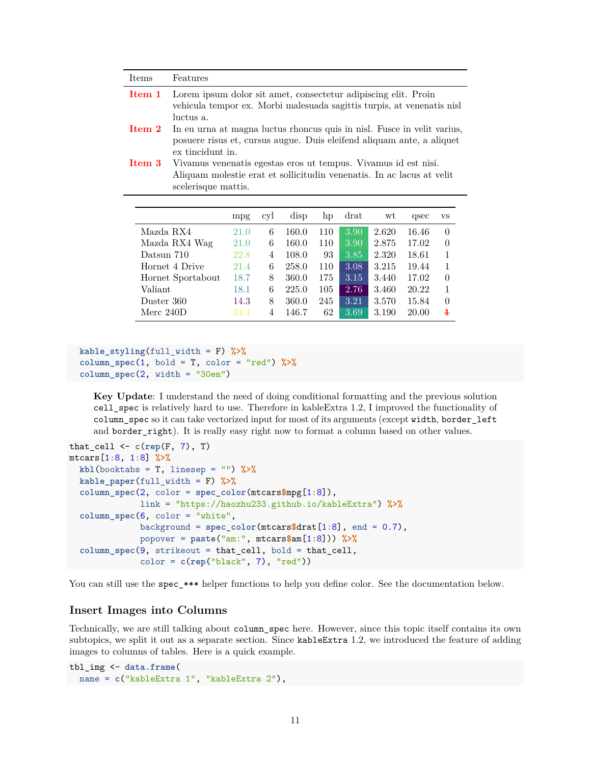| Items  | Features                                                                                                                                                                                       |                                                                                                                                          |     |       |     |        |       |       |                |  |  |
|--------|------------------------------------------------------------------------------------------------------------------------------------------------------------------------------------------------|------------------------------------------------------------------------------------------------------------------------------------------|-----|-------|-----|--------|-------|-------|----------------|--|--|
| Item 1 | luctus a.                                                                                                                                                                                      | Lorem ipsum dolor sit amet, consectetur adipiscing elit. Proin<br>vehicula tempor ex. Morbi malesuada sagittis turpis, at venenatis nisl |     |       |     |        |       |       |                |  |  |
|        | ${\bf Item}$ ${\bf 2}$<br>In eu urna at magna luctus rhoncus quis in nisl. Fusce in velit varius,<br>posuere risus et, cursus augue. Duis eleifend aliquam ante, a aliquet<br>ex tincidunt in. |                                                                                                                                          |     |       |     |        |       |       |                |  |  |
|        | $Item\ 3$<br>Vivamus venenatis egestas eros ut tempus. Vivamus id est nisi.<br>Aliquam molestie erat et sollicitudin venenatis. In ac lacus at velit                                           |                                                                                                                                          |     |       |     |        |       |       |                |  |  |
|        | scelerisque mattis.                                                                                                                                                                            |                                                                                                                                          |     |       |     |        |       |       |                |  |  |
|        |                                                                                                                                                                                                |                                                                                                                                          |     |       |     |        |       |       |                |  |  |
|        |                                                                                                                                                                                                | mpg                                                                                                                                      | cyl | disp  | hp  | $drat$ | wt    | qsec  | <b>VS</b>      |  |  |
|        |                                                                                                                                                                                                |                                                                                                                                          |     |       |     |        |       |       |                |  |  |
|        | Mazda RX4                                                                                                                                                                                      | 21.0                                                                                                                                     | 6   | 160.0 | 110 | 3.90   | 2.620 | 16.46 | $\Omega$       |  |  |
|        | Mazda RX4 Wag                                                                                                                                                                                  | 21.0                                                                                                                                     | 6   | 160.0 | 110 | 3.90   | 2.875 | 17.02 | $\theta$       |  |  |
|        | Datsun 710                                                                                                                                                                                     | 22.8                                                                                                                                     | 4   | 108.0 | 93  | 3.85   | 2.320 | 18.61 | $\mathbf{1}$   |  |  |
|        | Hornet 4 Drive                                                                                                                                                                                 | 21.4                                                                                                                                     | 6   | 258.0 | 110 | 3.08   | 3.215 | 19.44 | 1              |  |  |
|        | Hornet Sportabout                                                                                                                                                                              | 18.7                                                                                                                                     | 8   | 360.0 | 175 | 3.15   | 3.440 | 17.02 | $\overline{0}$ |  |  |
|        | Valiant                                                                                                                                                                                        | 18.1                                                                                                                                     | 6   | 225.0 | 105 | 2.76   | 3.460 | 20.22 | 1              |  |  |
|        | Duster 360                                                                                                                                                                                     | 14.3                                                                                                                                     | 8   | 360.0 | 245 | 3.21   | 3.570 | 15.84 | $\overline{0}$ |  |  |

```
kable_styling(full_width = F) %>%
\text{column\_spec}(1, \text{ bold} = T, \text{color} = \text{"red"}) %>%
column_spec(2, width = "30em")
```
**Key Update**: I understand the need of doing conditional formatting and the previous solution cell\_spec is relatively hard to use. Therefore in kableExtra 1.2, I improved the functionality of column\_spec so it can take vectorized input for most of its arguments (except width, border\_left and border\_right). It is really easy right now to format a column based on other values.

```
that_cell <- c(rep(F, 7), T)
mtcars[1:8, 1:8] %>%
  kbl(booktabs = T, linesep = "") %>%
  kable paper(full width = F) \frac{9}{2}column_spec(2, color = spec_color(mtcars$mpg[1:8]),
              link = "https://haozhu233.github.io/kableExtra") %>%
  column_spec(6, color = "white",
              background = spec_color(mtcars$drat[1:8], end = 0.7),
              popover = paste("am:", mtcars$am[1:8])) %>%
  column_spec(9, strikeout = that_cell, bold = that_cell,
              color = c(rep("black", 7), "red"))
```
You can still use the spec\_\*\*\* helper functions to help you define color. See the documentation [below.](#page-14-1)

#### <span id="page-10-0"></span>**Insert Images into Columns**

Technically, we are still talking about column\_spec here. However, since this topic itself contains its own subtopics, we split it out as a separate section. Since kableExtra 1.2, we introduced the feature of adding images to columns of tables. Here is a quick example.

tbl\_img <- **data.frame**( name = **c**("kableExtra 1", "kableExtra 2"),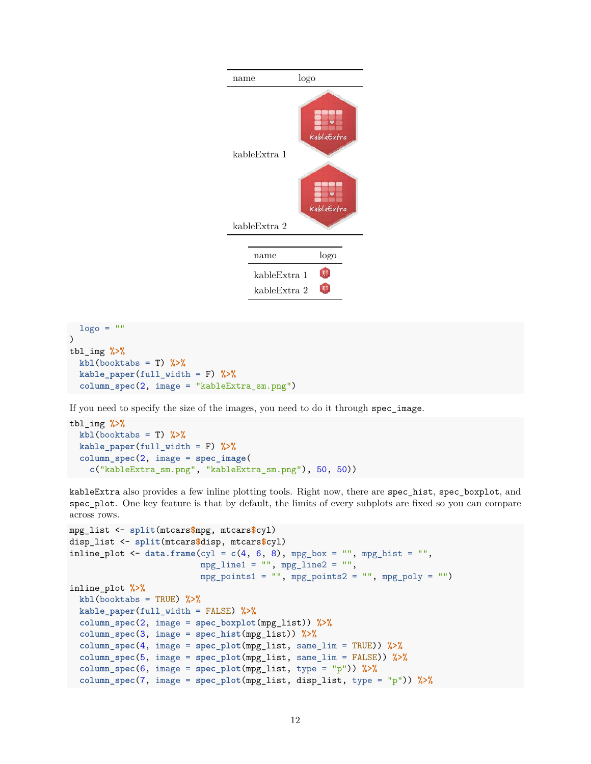

```
\log o = ""
\lambdatbl_img %>%
  kb1(booktabs = T) %>%
  kable_paper(full_width = F) %>%
  column_spec(2, image = "kableExtra_sm.png")
```
If you need to specify the size of the images, you need to do it through spec\_image.

```
tbl_img %>%
 kbl(booktabs = T) %>%
 kable_paper(full_width = F) %>%
  column_spec(2, image = spec_image(
   c("kableExtra_sm.png", "kableExtra_sm.png"), 50, 50))
```
kableExtra also provides a few inline plotting tools. Right now, there are spec\_hist, spec\_boxplot, and spec\_plot. One key feature is that by default, the limits of every subplots are fixed so you can compare across rows.

```
mpg_list <- split(mtcars$mpg, mtcars$cyl)
disp_list <- split(mtcars$disp, mtcars$cyl)
inline_plot \leq data.frame(cyl = c(4, 6, 8), mpg_box = "", mpg_hist = "",
                          mpg_line1 = "", mpg_line2 = "",
                          mpg\_points1 = "", mpg\_points2 = "", mpg\_poly = ""inline_plot %>%
 kbl(booktabs = TRUE) %>%
 kable_paper(full_width = FALSE) %>%
  column_spec(2, image = spec_boxplot(mpg_list)) %>%
  column_spec(3, image = spec_hist(mpg_list)) %>%
  column_spec(4, image = spec_plot(mpg_list, same_lim = TRUE)) %>%
  column_spec(5, image = spec_plot(mpg_list, same_lim = FALSE)) %>%
  column_spec(6, image = spec_plot(mpg_list, type = "p")) %>%
  column_spec(7, image = spec_plot(mpg_list, disp_list, type = "p")) %>%
```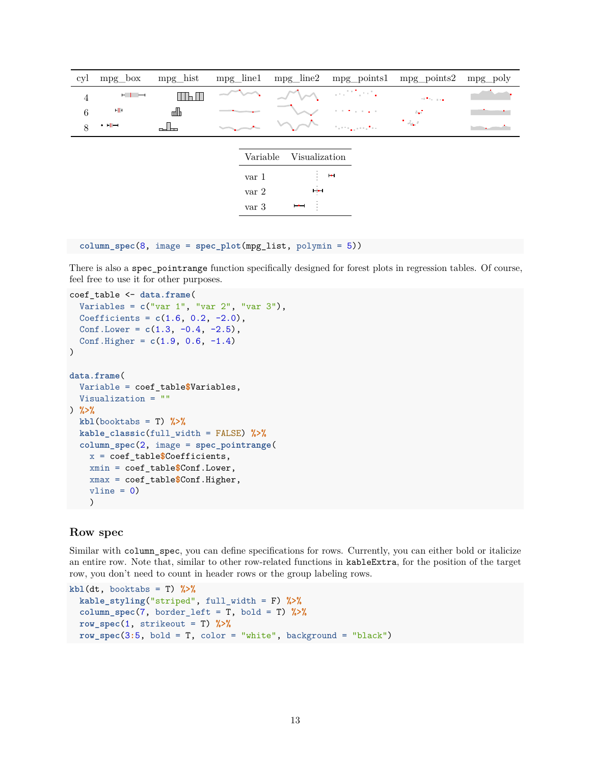| cyl             | $mpg_{\sim}box$          | mpg_hist                          | $mpg$ _line1 |                                    | $mpg$ _line2    |                     | mpg_points1 mpg_points2 | mpg poly |
|-----------------|--------------------------|-----------------------------------|--------------|------------------------------------|-----------------|---------------------|-------------------------|----------|
| $\overline{4}$  | $-$                      | $\mathsf{II}\mathsf{H}\mathsf{H}$ |              |                                    |                 | as the sta          | <b>STATISTICS</b>       |          |
| $6\phantom{.}6$ | ٠H                       | d                                 |              | <b>Section</b>                     |                 | the first company   | المواد                  |          |
| 8               | $\cdot$ +1 $\rightarrow$ | പ<br><b>ITT</b>                   |              |                                    |                 | San Francisco (Paul | 1 start                 |          |
|                 |                          |                                   |              |                                    |                 |                     |                         |          |
|                 |                          |                                   |              | Variable                           | Visualization   |                     |                         |          |
|                 |                          |                                   |              | var 1                              | $\mathcal{I}$ . | $+ +$               |                         |          |
|                 |                          |                                   |              | var2                               | وهبط            |                     |                         |          |
|                 |                          |                                   |              | $\ensuremath{\text{var}}\xspace$ 3 | ⊢⊷⊣             |                     |                         |          |

```
column_spec(8, image = spec_plot(mpg_list, polymin = 5))
```
There is also a spec\_pointrange function specifically designed for forest plots in regression tables. Of course, feel free to use it for other purposes.

```
coef_table <- data.frame(
 Variables = c("var 1", "var 2", "var 3"),
  Coefficients = c(1.6, 0.2, -2.0),
 Conf.Lower = c(1.3, -0.4, -2.5),
  Conf.Higher = c(1.9, 0.6, -1.4))
data.frame(
  Variable = coef_table$Variables,
 Visualization = ""
) %>%
 kb1(booktabs = T) %>%
 kable_classic(full_width = FALSE) %>%
  column_spec(2, image = spec_pointrange(
   x = coef_table$Coefficients,
   xmin = coef_table$Conf.Lower,
   xmax = coef_table$Conf.Higher,
   vline = 0)
   )
```
## <span id="page-12-0"></span>**Row spec**

Similar with column\_spec, you can define specifications for rows. Currently, you can either bold or italicize an entire row. Note that, similar to other row-related functions in kableExtra, for the position of the target row, you don't need to count in header rows or the group labeling rows.

```
kbl(dt, booktabs = T) %>%
  kable_styling("striped", full_width = F) %>%
  column_spec(7, border_left = T, bold = T) %>%
  row spec(1, \text{strikeout} = T) %>%
 row_spec(3:5, bold = T, color = "white", background = "black")
```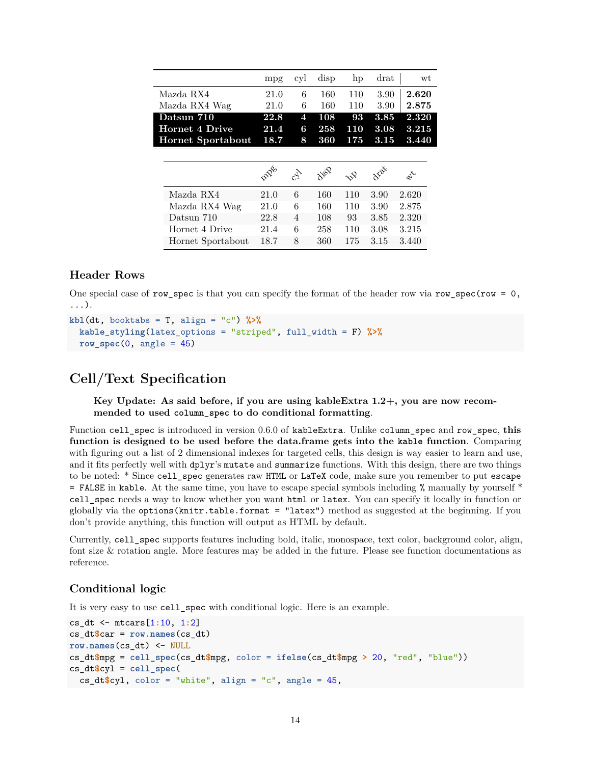|                   | mpg  | cyl                 | disp | hp       | drat | wt    |
|-------------------|------|---------------------|------|----------|------|-------|
| Mazda RX4         | 21.0 | 6                   | 460  | $\pm 10$ | 3.90 | 2.620 |
| Mazda RX4 Wag     | 21.0 | 6                   | 160  | 110      | 3.90 | 2.875 |
| Datsun 710        | 22.8 | $\mathbf{4}$        | 108  | 93       | 3.85 | 2.320 |
| Hornet 4 Drive    | 21.4 | 6                   | 258  | 110      | 3.08 | 3.215 |
| Hornet Sportabout | 18.7 | 8                   | 360  | 175      | 3.15 | 3.440 |
|                   |      |                     |      |          |      |       |
|                   |      |                     |      |          |      |       |
|                   | BDG  | $\hat{c}^{\hat{A}}$ | ivop | nP       | vai  | L     |
| Mazda RX4         | 21.0 | 6                   | 160  | 110      | 3.90 | 2.620 |
| Mazda RX4 Wag     | 21.0 | 6                   | 160  | 110      | 3.90 | 2.875 |
| Datsun 710        | 22.8 | $\overline{4}$      | 108  | 93       | 3.85 | 2.320 |
| Hornet 4 Drive    | 21.4 | 6                   | 258  | 110      | 3.08 | 3.215 |

#### <span id="page-13-0"></span>**Header Rows**

One special case of row spec is that you can specify the format of the header row via row spec(row = 0, ...).

```
kb1(dt, booktabs = T, align = "c") %kable_styling(latex_options = "striped", full_width = F) %>%
  row spec(0, \text{angle} = 45)
```
# <span id="page-13-1"></span>**Cell/Text Specification**

**Key Update: As said before, if you are using kableExtra 1.2+, you are now recommended to used column\_spec to do conditional formatting**.

Function cell\_spec is introduced in version 0.6.0 of kableExtra. Unlike column\_spec and row\_spec, **this function is designed to be used before the data.frame gets into the kable function**. Comparing with figuring out a list of 2 dimensional indexes for targeted cells, this design is way easier to learn and use, and it fits perfectly well with dplyr's mutate and summarize functions. With this design, there are two things to be noted: \* Since cell spec generates raw HTML or LaTeX code, make sure you remember to put escape  $=$  FALSE in kable. At the same time, you have to escape special symbols including % manually by yourself  $*$ cell\_spec needs a way to know whether you want html or latex. You can specify it locally in function or globally via the options(knitr.table.format = "latex") method as suggested at the beginning. If you don't provide anything, this function will output as HTML by default.

Currently, cell\_spec supports features including bold, italic, monospace, text color, background color, align, font size & rotation angle. More features may be added in the future. Please see function documentations as reference.

# <span id="page-13-2"></span>**Conditional logic**

It is very easy to use cell\_spec with conditional logic. Here is an example.

```
cs_dt <- mtcars[1:10, 1:2]
cs_dt$car = row.names(cs_dt)
row.names(cs_dt) <- NULL
cs_dt$mpg = cell_spec(cs_dt$mpg, color = ifelse(cs_dt$mpg > 20, "red", "blue"))
cs_dt$cyl = cell_spec(
 cs_dt$cyl, color = "white", align = "c", angle = 45,
```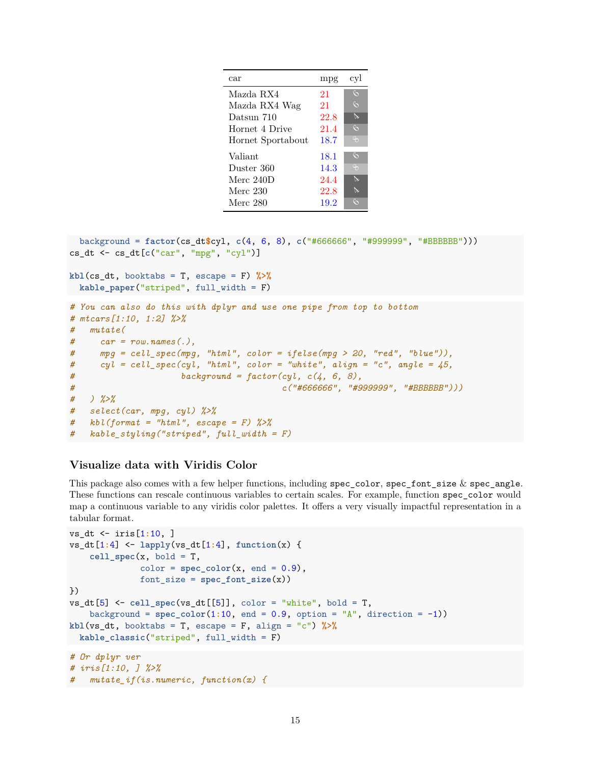| car               | mpg  | cyl      |
|-------------------|------|----------|
| Mazda RX4         | 21   | $\zeta$  |
| Mazda RX4 Wag     | 21   | $\zeta$  |
| Datsun 710        | 22.8 | $\alpha$ |
| Hornet 4 Drive    | 21.4 | $\zeta$  |
| Hornet Sportabout | 18.7 | $\Theta$ |
| Valiant           | 18.1 | $\zeta$  |
| Duster 360        | 14.3 | $\Theta$ |
| Merc $240D$       | 24.4 | Dr       |
| Merc 230          | 22.8 | ℕ        |
| Merc 280          | 19.2 | $\zeta$  |

```
background = factor(cs_dt$cyl, c(4, 6, 8), c("#666666", "#999999", "#BBBBBB")))
cs_dt <- cs_dt[c("car", "mpg", "cyl")]
kbl(cs_dt, booktabs = T, escape = F) %>%
 kable_paper("striped", full_width = F)
# You can also do this with dplyr and use one pipe from top to bottom
# mtcars[1:10, 1:2] %>%
# mutate(
# car = row.names(.),
# mpg = cell_spec(mpg, "html", color = ifelse(mpg > 20, "red", "blue")),
# cyl = cell_spec(cyl, "html", color = "white", align = "c", angle = 45,
# background = factor(cyl, c(4, 6, 8),
# c("#666666", "#999999", "#BBBBBB")))
# ) %>%
# select(car, mpg, cyl) %>%
# kbl(format = "html", escape = F) %>%
# kable_styling("striped", full_width = F)
```
## <span id="page-14-1"></span><span id="page-14-0"></span>**Visualize data with Viridis Color**

This package also comes with a few helper functions, including  $spec\_{color}.\text{color}, spec\_{font}.\text{size} \& spec\_{angle\}\text{angle}.$ These functions can rescale continuous variables to certain scales. For example, function spec\_color would map a continuous variable to any [viridis color palettes.](https://CRAN.R-project.org/package=viridisLite) It offers a very visually impactful representation in a tabular format.

```
vs_dt <- iris[1:10, ]
vs_dt[1:4] <- lapply(vs_dt[1:4], function(x) {
    cell\_spec(x, bold = T,color = spec\_color(x, end = 0.9),
              font_size = spec_font_size(x))
})
vs\_dt[5] <- cell\_spec(vs\_dt[[5]], color = "white", bold = T,
   background = spec\_color(1:10, end = 0.9, option = "A", direction = -1))kbl(vs_dt, booktabs = T, escape = F, align = "c") %>%
 kable_classic("striped", full_width = F)
# Or dplyr ver
# iris[1:10, ] %>%
# mutate_if(is.numeric, function(x) {
```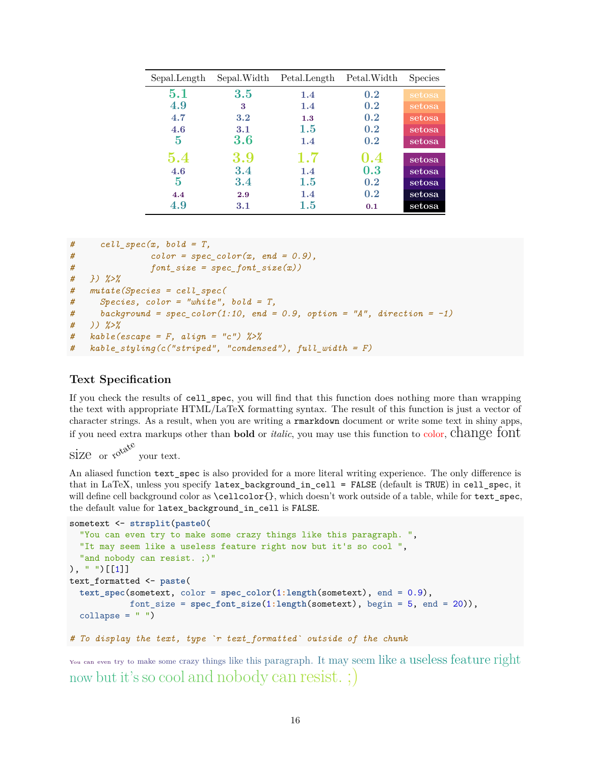| Sepal.Length | Sepal.Width | Petal.Length | Petal. Width | <b>Species</b> |
|--------------|-------------|--------------|--------------|----------------|
| 5.1          | 3.5         | 1.4          | 0.2          | setosa         |
| 4.9          | 3           | 1.4          | 0.2          | setosa         |
| 4.7          | 3.2         | 1.3          | 0.2          | setosa         |
| 4.6          | 3.1         | $1.5\,$      | 0.2          | setosa         |
| 5            | 3.6         | 1.4          | 0.2          | setosa         |
| 5.4          | 3.9         | 1.7          | 0.4          | setosa         |
| 4.6          | 3.4         | 1.4          | 0.3          | setosa         |
| $\mathbf 5$  | 3.4         | 1.5          | 0.2          | setosa         |
| 4.4          | 2.9         | 1.4          | 0.2          | setosa         |
| 4.9          | 3.1         | 1.5          | 0.1          | setosa         |

```
# cell_spec(x, bold = T,
# color = spec_color(x, end = 0.9),
# font_size = spec_font_size(x))
# }) %>%
# mutate(Species = cell_spec(
# Species, color = "white", bold = T,
# background = spec_color(1:10, end = 0.9, option = "A", direction = -1)
# )) %>%
# kable(escape = F, align = "c") %>%
# kable_styling(c("striped", "condensed"), full_width = F)
```
# <span id="page-15-0"></span>**Text Specification**

If you check the results of cell\_spec, you will find that this function does nothing more than wrapping the text with appropriate HTML/LaTeX formatting syntax. The result of this function is just a vector of character strings. As a result, when you are writing a rmarkdown document or write some text in shiny apps, if you need extra markups other than **bold** or *italic*, you may use this function to color, change font

size or  $x^{\alpha^{k}}$ your text.

An aliased function text\_spec is also provided for a more literal writing experience. The only difference is that in LaTeX, unless you specify latex\_background\_in\_cell = FALSE (default is TRUE) in cell\_spec, it will define cell background color as  $\celloch{f}$ , which doesn't work outside of a table, while for text spec, the default value for latex\_background\_in\_cell is FALSE.

```
sometext <- strsplit(paste0(
  "You can even try to make some crazy things like this paragraph. ",
  "It may seem like a useless feature right now but it's so cool ",
  "and nobody can resist. ; )"
), " ') [[1]]
text_formatted <- paste(
  text_spec(sometext, color = spec_color(1:length(sometext), end = 0.9),
            font_size = spec_font_size(1:length(sometext), begin = 5, end = 20)),
 collapse = " "")
```
*# To display the text, type `r text\_formatted` outside of the chunk*

You can even try to make some crazy things like this paragraph. It may seem like a useless feature right now but it's so cool and nobody can resist. ;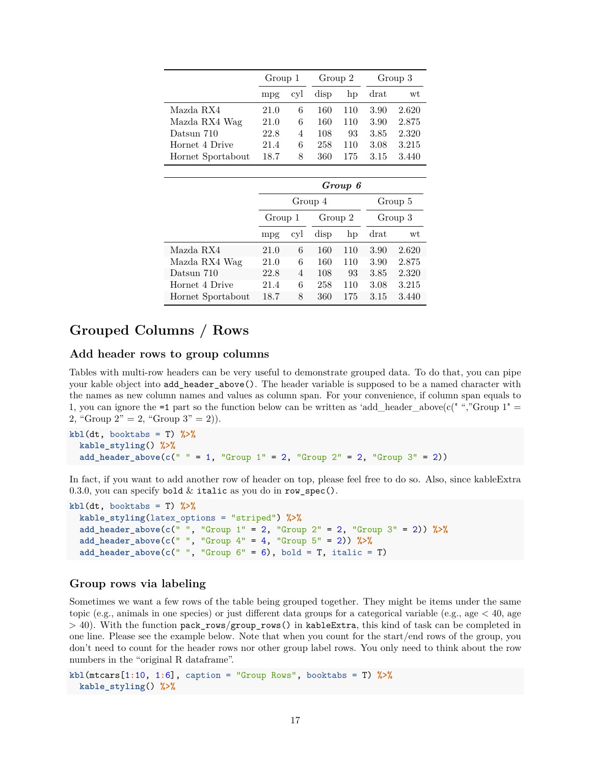|                   | Group 1 |     | Group 2 |     | Group 3 |       |
|-------------------|---------|-----|---------|-----|---------|-------|
|                   | mpg     | cvl | disp    | hp  | $drat$  | wt    |
| Mazda RX4         | 21.0    | 6   | 160     | 110 | 3.90    | 2.620 |
| Mazda RX4 Wag     | 21.0    | 6   | 160     | 110 | 3.90    | 2.875 |
| Datsun 710        | 22.8    | 4   | 108     | 93  | 3.85    | 2.320 |
| Hornet 4 Drive    | 21.4    | 6   | 258     | 110 | 3.08    | 3.215 |
| Hornet Sportabout | 18.7    | 8   | 360     | 175 | 3.15    | 3.440 |

|                   | Group 6 |         |         |     |         |       |  |  |
|-------------------|---------|---------|---------|-----|---------|-------|--|--|
|                   |         | Group 4 | Group 5 |     |         |       |  |  |
|                   | Group 1 |         | Group 2 |     | Group 3 |       |  |  |
|                   | mpg     | cyl     | disp    | hp  | drat    | wt    |  |  |
| Mazda RX4         | 21.0    | 6       | 160     | 110 | 3.90    | 2.620 |  |  |
| Mazda RX4 Wag     | 21.0    | 6       | 160     | 110 | 3.90    | 2.875 |  |  |
| Datsun 710        | 22.8    | 4       | 108     | 93  | 3.85    | 2.320 |  |  |
| Hornet 4 Drive    | 21.4    | 6       | 258     | 110 | 3.08    | 3.215 |  |  |
| Hornet Sportabout | 18.7    | 8       | 360     | 175 | 3.15    | 3.440 |  |  |

# <span id="page-16-0"></span>**Grouped Columns / Rows**

## <span id="page-16-1"></span>**Add header rows to group columns**

Tables with multi-row headers can be very useful to demonstrate grouped data. To do that, you can pipe your kable object into add\_header\_above(). The header variable is supposed to be a named character with the names as new column names and values as column span. For your convenience, if column span equals to 1, you can ignore the  $=1$  part so the function below can be written as 'add\_header\_above(c(" ","Group 1"  $=$ 2, "Group  $2" = 2$ , "Group  $3" = 2$ ).

```
kbl(dt, booktabs = T) %>%
  kable_styling() %>%
  add_header_above(c(" " = 1, "Group 1" = 2, "Group 2" = 2, "Group 3" = 2))
```
In fact, if you want to add another row of header on top, please feel free to do so. Also, since kableExtra 0.3.0, you can specify bold  $\&$  italic as you do in row\_spec().

```
kb1(dt, booktabs = T) %>%
  kable_styling(latex_options = "striped") %>%
  add_header_above(c(" ", "Group 1" = 2, "Group 2" = 2, "Group 3" = 2)) %>%
  add_header_above(c(" ", "Group 4" = 4, "Group 5" = 2)) %>%
  add_header_above(c(" ", "Group 6" = 6), bold = T, italic = T)
```
## <span id="page-16-2"></span>**Group rows via labeling**

Sometimes we want a few rows of the table being grouped together. They might be items under the same topic (e.g., animals in one species) or just different data groups for a categorical variable (e.g., age  $< 40$ , age  $>$  40). With the function pack\_rows/group\_rows() in kableExtra, this kind of task can be completed in one line. Please see the example below. Note that when you count for the start/end rows of the group, you don't need to count for the header rows nor other group label rows. You only need to think about the row numbers in the "original R dataframe".

```
kbl(mtcars[1:10, 1:6], caption = "Group Rows", booktabs = T) %>%
  kable_styling() %>%
```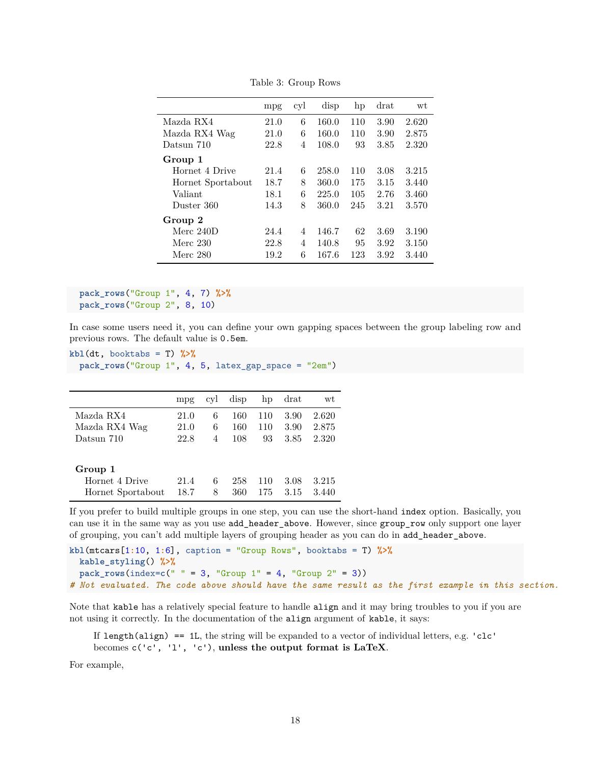|                   | mpg  | cyl            | disp  | hp  | $drat$ | wt    |
|-------------------|------|----------------|-------|-----|--------|-------|
| Mazda RX4         | 21.0 | 6              | 160.0 | 110 | 3.90   | 2.620 |
| Mazda RX4 Wag     | 21.0 | 6              | 160.0 | 110 | 3.90   | 2.875 |
| Datsun 710        | 22.8 | 4              | 108.0 | 93  | 3.85   | 2.320 |
| Group 1           |      |                |       |     |        |       |
| Hornet 4 Drive    | 21.4 | 6              | 258.0 | 110 | 3.08   | 3.215 |
| Hornet Sportabout | 18.7 | 8              | 360.0 | 175 | 3.15   | 3.440 |
| Valiant           | 18.1 | 6              | 225.0 | 105 | 2.76   | 3.460 |
| Duster 360        | 14.3 | 8              | 360.0 | 245 | 3.21   | 3.570 |
| Group 2           |      |                |       |     |        |       |
| Merc $240D$       | 24.4 | 4              | 146.7 | 62  | 3.69   | 3.190 |
| Merc 230          | 22.8 | $\overline{4}$ | 140.8 | 95  | 3.92   | 3.150 |
| Merc 280          | 19.2 | 6              | 167.6 | 123 | 3.92   | 3.440 |

Table 3: Group Rows

```
pack_rows("Group 1", 4, 7) %>%
pack_rows("Group 2", 8, 10)
```
In case some users need it, you can define your own gapping spaces between the group labeling row and previous rows. The default value is 0.5em.

```
kb1(dt, booktabs = T) %>%
 pack_rows("Group 1", 4, 5, latex_gap_space = "2em")
```

|               |      |                | mpg cyl disp hp drat |  | wt                 |
|---------------|------|----------------|----------------------|--|--------------------|
| Mazda RX4     | 21.0 | 6.             |                      |  | 160 110 3.90 2.620 |
| Mazda RX4 Wag | 21.0 | 6.             |                      |  | 160 110 3.90 2.875 |
| Datsun 710    | 22.8 | $\overline{4}$ | 108                  |  | 93 3.85 2.320      |

#### **Group 1**

| Hornet 4 Drive                              |  |  | 21.4 6 258 110 3.08 3.215 |
|---------------------------------------------|--|--|---------------------------|
| Hornet Sportabout 18.7 8 360 175 3.15 3.440 |  |  |                           |

If you prefer to build multiple groups in one step, you can use the short-hand index option. Basically, you can use it in the same way as you use add\_header\_above. However, since group\_row only support one layer of grouping, you can't add multiple layers of grouping header as you can do in add\_header\_above.

```
kbl(mtcars[1:10, 1:6], caption = "Group Rows", booktabs = T) %>%
 kable_styling() %>%
 pack_{rows}(index = c(" " = 3, "Group 1" = 4, "Group 2" = 3))# Not evaluated. The code above should have the same result as the first example in this section.
```
Note that kable has a relatively special feature to handle align and it may bring troubles to you if you are not using it correctly. In the documentation of the align argument of kable, it says:

If length(align)  $= 1$ . I., the string will be expanded to a vector of individual letters, e.g. 'clc' becomes c('c', 'l', 'c'), **unless the output format is LaTeX**.

For example,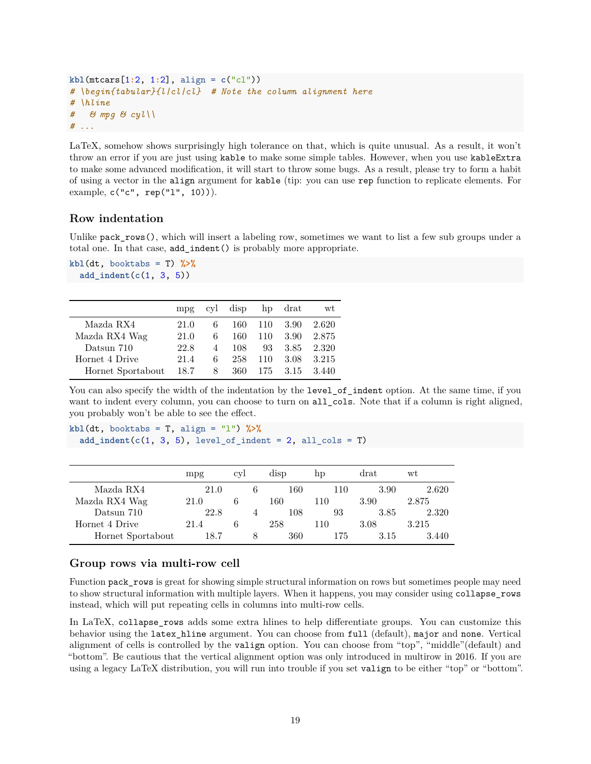```
kbl(mtcars[1:2, 1:2], align = c("cl"))
# \begin{tabular}{l|cl|cl} # Note the column alignment here
# \hline
# & mpg & cyl\\
# ...
```
LaTeX, somehow shows surprisingly high tolerance on that, which is quite unusual. As a result, it won't throw an error if you are just using kable to make some simple tables. However, when you use kableExtra to make some advanced modification, it will start to throw some bugs. As a result, please try to form a habit of using a vector in the align argument for kable (tip: you can use rep function to replicate elements. For example,  $c("c", rep("1", 10))).$ 

## <span id="page-18-0"></span>**Row indentation**

Unlike  $pack\_rows()$ , which will insert a labeling row, sometimes we want to list a few sub groups under a total one. In that case, add\_indent() is probably more appropriate.

```
kb1(dt, booktabs = T) %>%
 add_indent(c(1, 3, 5))
```

|                   | mpr  | cyl | disp |     | hp drat | wt    |
|-------------------|------|-----|------|-----|---------|-------|
| Mazda RX4         | 21.0 | 6   | 160  | 110 | 3.90    | 2.620 |
| Mazda RX4 Wag     | 21.0 | 6   | 160  | 110 | 3.90    | 2.875 |
| Datsun 710        | 22.8 | 4   | 108  | 93  | 3.85    | 2.320 |
| Hornet 4 Drive    | 21.4 | 6   | 258  | 110 | 3.08    | 3.215 |
| Hornet Sportabout | 18.7 | 8   | 360  | 175 | 3.15    | 3.440 |

You can also specify the width of the indentation by the level\_of\_indent option. At the same time, if you want to indent every column, you can choose to turn on all\_cols. Note that if a column is right aligned, you probably won't be able to see the effect.

**kbl**(dt, booktabs = T, align = "l") **%>%**  $add\_indent(c(1, 3, 5), level_of_index = 2, all_cols = T)$ 

|                   | mpg  | CVI |   | disp | hp  | $drat$ | wt    |
|-------------------|------|-----|---|------|-----|--------|-------|
| Mazda RX4         | 21.0 |     | b | 160  | 110 | 3.90   | 2.620 |
| Mazda RX4 Wag     | 21.0 | n   |   | 160  | 110 | 3.90   | 2.875 |
| Datsun 710        | 22.8 |     |   | 108  | 93  | 3.85   | 2.320 |
| Hornet 4 Drive    | 21.4 |     |   | 258  | 110 | 3.08   | 3.215 |
| Hornet Sportabout | 18.7 |     | 8 | 360  | 175 | 3.15   | 3.440 |

## <span id="page-18-1"></span>**Group rows via multi-row cell**

Function pack\_rows is great for showing simple structural information on rows but sometimes people may need to show structural information with multiple layers. When it happens, you may consider using collapse\_rows instead, which will put repeating cells in columns into multi-row cells.

In LaTeX, collapse\_rows adds some extra hlines to help differentiate groups. You can customize this behavior using the latex hline argument. You can choose from full (default), major and none. Vertical alignment of cells is controlled by the valign option. You can choose from "top", "middle"(default) and "bottom". Be cautious that the vertical alignment option was only introduced in multirow in 2016. If you are using a legacy LaTeX distribution, you will run into trouble if you set valign to be either "top" or "bottom".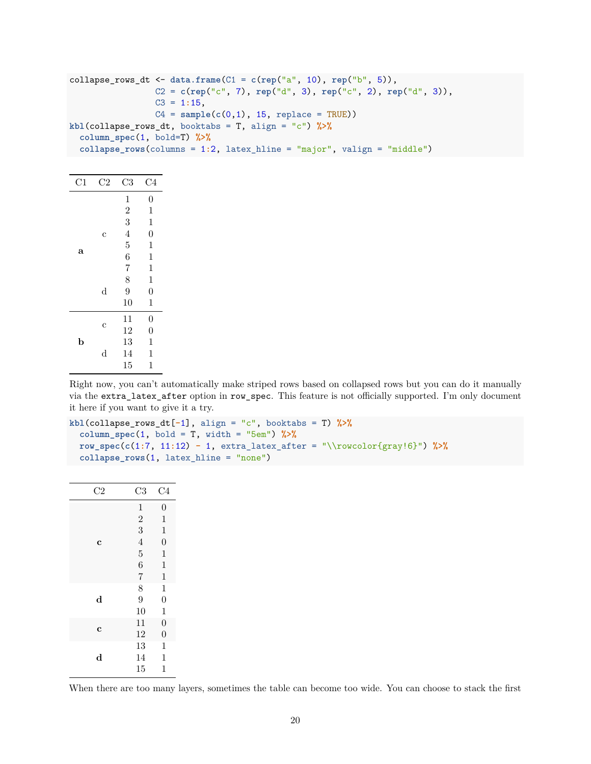| collapse_rows_dt <- data.frame( $C1 = c$ (rep("a", 10), rep("b", 5)),                     |
|-------------------------------------------------------------------------------------------|
| $C2 = c(\text{rep}("c", 7), \text{rep}("d", 3), \text{rep}("c", 2), \text{rep}("d", 3)),$ |
| $C3 = 1:15$ ,                                                                             |
| $C4 = sample(c(0,1), 15, replace = TRUE))$                                                |
| kbl(collapse_rows_dt, booktabs = T, align = "c") $\frac{1}{2}\$                           |
| column_spec(1, bold=T) $\frac{1}{2}$                                                      |
| collapse_rows(columns = $1:2$ , latex_hline = "major", valign = "middle")                 |

| C1          | $\rm{C2}$ | C <sub>3</sub>                        | C4               |
|-------------|-----------|---------------------------------------|------------------|
|             |           | $\mathbf 1$                           | $\overline{0}$   |
|             |           | $\overline{2}$                        | $\mathbf 1$      |
|             |           | 3                                     | $\mathbf 1$      |
|             | C         | $\overline{4}$                        | $\boldsymbol{0}$ |
|             |           | $\overline{5}$                        | $\mathbf{1}$     |
|             | a         | 6                                     | $\mathbf{1}$     |
|             |           | $\begin{array}{c} 7 \\ 8 \end{array}$ | $\mathbf{1}$     |
|             |           |                                       | $\mathbf{1}$     |
|             | d         | 9                                     | $\overline{0}$   |
|             |           | 10                                    | $\mathbf{1}$     |
|             |           | 11                                    | $\boldsymbol{0}$ |
|             | C         | 12                                    | $\overline{0}$   |
| $\mathbf b$ |           | 13                                    | $\mathbf{1}$     |
|             | d         | 14                                    | $\mathbf 1$      |
|             |           | 15                                    | $\mathbf 1$      |

Right now, you can't automatically make striped rows based on collapsed rows but you can do it manually via the extra\_latex\_after option in row\_spec. This feature is not officially supported. I'm only document it here if you want to give it a try.

```
kbl(collapse_rows_dt[-1], align = "c", booktabs = T) %>%
  column_spec(1, bold = T, width = "5em") %>%
  row_spec(c(1:7, 11:12) - 1, extra_latex_after = "\\rowcolor{gray!6}") %>%
  collapse_rows(1, latex_hline = "none")
```

| $_{\rm C2}$ | C3             | C <sub>4</sub>   |
|-------------|----------------|------------------|
|             | $\mathbf{1}$   | $\overline{0}$   |
|             |                | $\mathbf{1}$     |
|             | $\frac{2}{3}$  | $\mathbf{1}$     |
| $\mathbf c$ | $\overline{4}$ | $\overline{0}$   |
|             | $\overline{5}$ | $\overline{1}$   |
|             | $\overline{6}$ | $\mathbf{1}$     |
|             | $\overline{7}$ | $\mathbf{1}$     |
|             | 8              | $\mathbf 1$      |
| $\mathbf d$ | 9              | $\boldsymbol{0}$ |
|             | 10             | $\mathbf{1}$     |
|             | 11             | $\overline{0}$   |
| $\mathbf c$ | 12             | $\overline{0}$   |
|             | 13             | $\mathbf 1$      |
| $\mathbf d$ | 14             | $\mathbf{1}$     |
|             | 15             | $\mathbf{1}$     |

When there are too many layers, sometimes the table can become too wide. You can choose to stack the first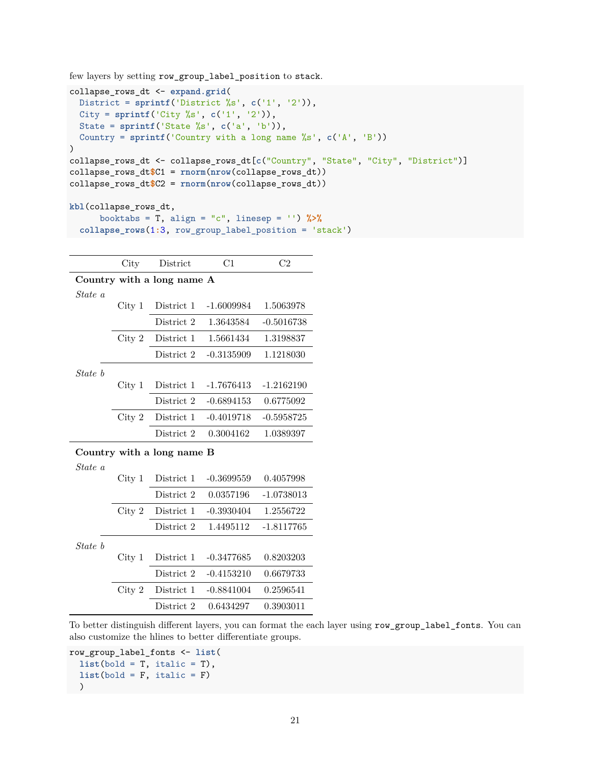few layers by setting row\_group\_label\_position to stack.

```
collapse_rows_dt <- expand.grid(
  District = sprintf('District %s', c('1', '2')),
  City = sprintf('City %s', c('1', '2')),
 State = sprintf('State %s', c('a', 'b')),
 Country = sprintf('Country with a long name %s', c('A', 'B'))
)
collapse_rows_dt <- collapse_rows_dt[c("Country", "State", "City", "District")]
collapse_rows_dt$C1 = rnorm(nrow(collapse_rows_dt))
collapse_rows_dt$C2 = rnorm(nrow(collapse_rows_dt))
kbl(collapse_rows_dt,
      booktabs = T, align = "c", linesep = '') %>%
  collapse_rows(1:3, row_group_label_position = 'stack')
```

|                            | City              | District                   | C1           | C <sub>2</sub> |  |  |  |  |  |
|----------------------------|-------------------|----------------------------|--------------|----------------|--|--|--|--|--|
| Country with a long name A |                   |                            |              |                |  |  |  |  |  |
| State a                    |                   |                            |              |                |  |  |  |  |  |
|                            | City <sub>1</sub> | District 1                 | $-1.6009984$ | 1.5063978      |  |  |  |  |  |
|                            |                   | District 2                 | 1.3643584    | $-0.5016738$   |  |  |  |  |  |
|                            | City 2            | District 1                 | 1.5661434    | 1.3198837      |  |  |  |  |  |
|                            |                   | District 2                 | $-0.3135909$ | 1.1218030      |  |  |  |  |  |
| State b                    |                   |                            |              |                |  |  |  |  |  |
|                            | City 1            | District 1                 | $-1.7676413$ | $-1.2162190$   |  |  |  |  |  |
|                            |                   | District 2                 | $-0.6894153$ | 0.6775092      |  |  |  |  |  |
|                            | City 2            | District 1                 | $-0.4019718$ | $-0.5958725$   |  |  |  |  |  |
|                            |                   | District 2                 | 0.3004162    | 1.0389397      |  |  |  |  |  |
|                            |                   | Country with a long name B |              |                |  |  |  |  |  |
| State a                    |                   |                            |              |                |  |  |  |  |  |
|                            | City 1            | District 1                 | $-0.3699559$ | 0.4057998      |  |  |  |  |  |
|                            |                   | District 2                 | 0.0357196    | $-1.0738013$   |  |  |  |  |  |
|                            | City 2            | District 1                 | $-0.3930404$ | 1.2556722      |  |  |  |  |  |
|                            |                   | District 2                 | 1.4495112    | $-1.8117765$   |  |  |  |  |  |
| State b                    |                   |                            |              |                |  |  |  |  |  |
|                            | City <sub>1</sub> | District 1                 | $-0.3477685$ | 0.8203203      |  |  |  |  |  |
|                            |                   | District 2                 | $-0.4153210$ | 0.6679733      |  |  |  |  |  |
|                            | City 2            | District 1                 | $-0.8841004$ | 0.2596541      |  |  |  |  |  |
|                            |                   | District 2                 | 0.6434297    | 0.3903011      |  |  |  |  |  |

To better distinguish different layers, you can format the each layer using row\_group\_label\_fonts. You can also customize the hlines to better differentiate groups.

```
row_group_label_fonts <- list(
 list(bold = T, italic = T),list(bold = F, italic = F))
```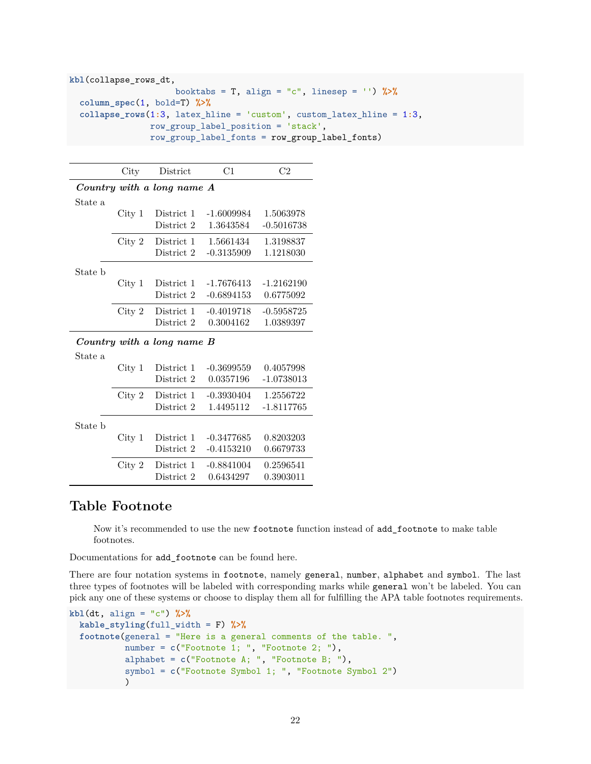```
kbl(collapse_rows_dt,
                     booktabs = T, align = "c", linesep = '') %>%
  column_spec(1, bold=T) %>%
  collapse_rows(1:3, latex_hline = 'custom', custom_latex_hline = 1:3,
                row_group_label_position = 'stack',
                row_group_label_fonts = row_group_label_fonts)
```

|                            | City   | District   | C1           | $_{\rm C2}$  |  |  |  |  |  |
|----------------------------|--------|------------|--------------|--------------|--|--|--|--|--|
| Country with a long name A |        |            |              |              |  |  |  |  |  |
| State a                    |        |            |              |              |  |  |  |  |  |
|                            | City 1 | District 1 | $-1.6009984$ | 1.5063978    |  |  |  |  |  |
|                            |        | District 2 | 1.3643584    | $-0.5016738$ |  |  |  |  |  |
|                            | City 2 | District 1 | 1.5661434    | 1.3198837    |  |  |  |  |  |
|                            |        | District 2 | $-0.3135909$ | 1.1218030    |  |  |  |  |  |
| State b                    |        |            |              |              |  |  |  |  |  |
|                            | City 1 | District 1 | $-1.7676413$ | $-1.2162190$ |  |  |  |  |  |
|                            |        | District 2 | $-0.6894153$ | 0.6775092    |  |  |  |  |  |
|                            | City 2 | District 1 | $-0.4019718$ | $-0.5958725$ |  |  |  |  |  |
|                            |        | District 2 | 0.3004162    | 1.0389397    |  |  |  |  |  |
| Country with a long name B |        |            |              |              |  |  |  |  |  |
| State a                    |        |            |              |              |  |  |  |  |  |
|                            | City 1 | District 1 | $-0.3699559$ | 0.4057998    |  |  |  |  |  |
|                            |        | District 2 | 0.0357196    | $-1.0738013$ |  |  |  |  |  |
|                            | City 2 | District 1 | $-0.3930404$ | 1.2556722    |  |  |  |  |  |
|                            |        | District 2 | 1.4495112    | -1.8117765   |  |  |  |  |  |

City 1 District 1 -0.3477685 0.8203203

City 2 District 1 -0.8841004 0.2596541

District 2 -0.4153210 0.6679733

District 2 0.6434297 0.3903011

State b

# <span id="page-21-0"></span>**Table Footnote**

Now it's recommended to use the new footnote function instead of add\_footnote to make table footnotes.

Documentations for add\_footnote can be found [here.](http://haozhu233.github.io/kableExtra/legacy_features#add_footnote)

There are four notation systems in footnote, namely general, number, alphabet and symbol. The last three types of footnotes will be labeled with corresponding marks while general won't be labeled. You can pick any one of these systems or choose to display them all for fulfilling the APA table footnotes requirements.

```
kbl(dt, align = "c") %>%
 kable_styling(full_width = F) %>%
  footnote(general = "Here is a general comments of the table. ",
           number = c("Footnote 1; ", "Footnote 2; "),
           alphabet = c("Footnote A; ", "Footnote B; "),
           symbol = c("Footnote Symbol 1; ", "Footnote Symbol 2")
           )
```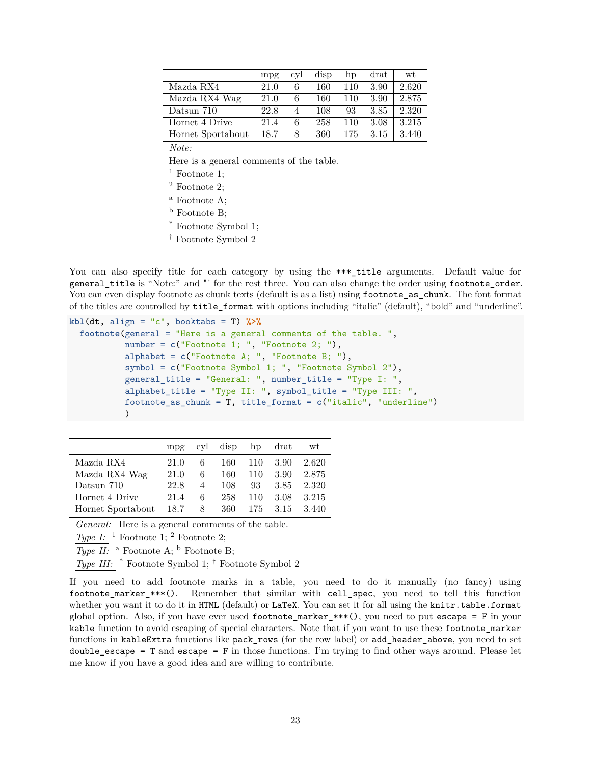|                   | mpg  | cyl | disp | hp  | drat | wt    |
|-------------------|------|-----|------|-----|------|-------|
| Mazda RX4         | 21.0 | 6   | 160  | 110 | 3.90 | 2.620 |
| Mazda RX4 Wag     | 21.0 | 6   | 160  | 110 | 3.90 | 2.875 |
| Datsun 710        | 22.8 | 4   | 108  | 93  | 3.85 | 2.320 |
| Hornet 4 Drive    | 21.4 | 6   | 258  | 110 | 3.08 | 3.215 |
| Hornet Sportabout | 18.7 | 8   | 360  | 175 | 3.15 | 3.440 |

*Note:*

Here is a general comments of the table.

- $<sup>1</sup>$  Footnote 1;</sup>
- <sup>2</sup> Footnote 2;
- <sup>a</sup> Footnote A;
- <sup>b</sup> Footnote B;
- \* Footnote Symbol 1;
- † Footnote Symbol 2

You can also specify title for each category by using the \*\*\*\_title arguments. Default value for general\_title is "Note:" and "" for the rest three. You can also change the order using footnote\_order. You can even display footnote as chunk texts (default is as a list) using footnote\_as\_chunk. The font format of the titles are controlled by title\_format with options including "italic" (default), "bold" and "underline".

```
kbl(dt, align = "c", booktabs = T) %>%
  footnote(general = "Here is a general comments of the table. ",
           number = c("Footnote 1; ", "Footnote 2; "),
           alphabet = c("Footnote A; ", "Footnote B; "),
           symbol = c("Footnote Symbol 1; ", "Footnote Symbol 2"),
           general_title = "General: ", number_title = "Type I: ",
           alphabet_title = "Type II: ", symbol_title = "Type III: ",
           footnote_as_chunk = T, title_format = c("italic", "underline")
           )
```

|                   | $mp$ g |   | cyl disp hp drat |         |      | wt     |
|-------------------|--------|---|------------------|---------|------|--------|
| Mazda RX4         | 21.0   | 6 |                  | 160 110 | 3.90 | 2.620  |
| Mazda RX4 Wag     | 21.0   | 6 | 160              | 110     | 3.90 | 2.875  |
| Datsun 710        | 22.8   | 4 | 108              | 93      | 3.85 | 2.320  |
| Hornet 4 Drive    | 21.4   | 6 | 258              | 110     | 3.08 | 3.215  |
| Hornet Sportabout | 18.7   | 8 | 360              | 175     | 3.15 | -3.440 |

*General:* Here is a general comments of the table.

*Type I:* <sup>1</sup> Footnote 1; <sup>2</sup> Footnote 2;

*Type II:* a Footnote A; b Footnote B;

*Type III:* \* Footnote Symbol 1; † Footnote Symbol 2

If you need to add footnote marks in a table, you need to do it manually (no fancy) using footnote\_marker\_\*\*\*(). Remember that similar with cell\_spec, you need to tell this function whether you want it to do it in HTML (default) or LaTeX. You can set it for all using the knitr.table.format global option. Also, if you have ever used footnote\_marker\_\*\*\*(), you need to put escape = F in your kable function to avoid escaping of special characters. Note that if you want to use these footnote marker functions in kableExtra functions like pack rows (for the row label) or add header above, you need to set double\_escape =  $T$  and escape =  $F$  in those functions. I'm trying to find other ways around. Please let me know if you have a good idea and are willing to contribute.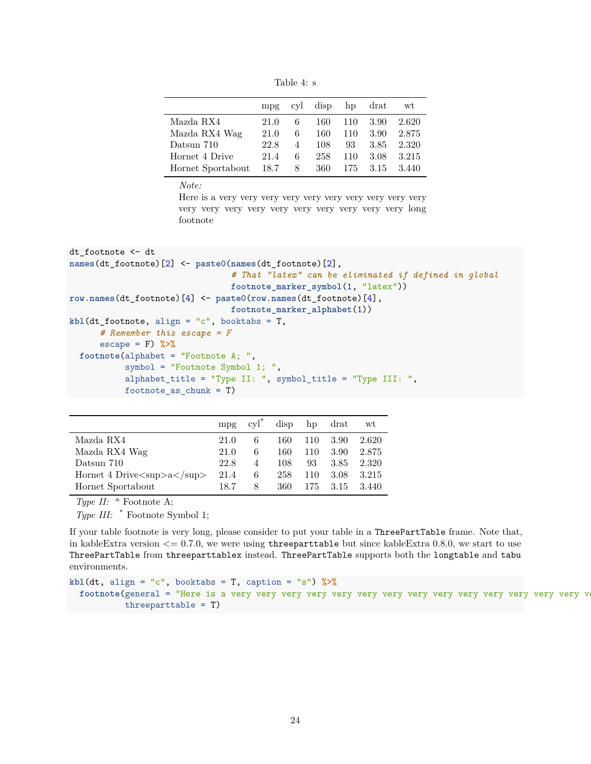Table 4: s

|                   |      |   | mpg cyl disp hp drat |     |      | wt    |
|-------------------|------|---|----------------------|-----|------|-------|
| Mazda RX4         | 21.0 | 6 | 160                  | 110 | 3.90 | 2.620 |
| Mazda RX4 Wag     | 21.0 | 6 | 160                  | 110 | 3.90 | 2.875 |
| Datsun 710        | 22.8 | 4 | 108                  | 93  | 3.85 | 2.320 |
| Hornet 4 Drive    | 21.4 | 6 | 258                  | 110 | 3.08 | 3.215 |
| Hornet Sportabout | 18.7 | 8 | 360                  | 175 | 3.15 | 3.440 |

*Note:*

Here is a very very very very very very very very very very very very very very very very very very very very long footnote

```
dt_footnote <- dt
names(dt_footnote)[2] <- paste0(names(dt_footnote)[2],
                                # That "latex" can be eliminated if defined in global
                                footnote_marker_symbol(1, "latex"))
row.names(dt_footnote)[4] <- paste0(row.names(dt_footnote)[4],
                                footnote_marker_alphabet(1))
kbl(dt_footnote, align = "c", booktabs = T,
      # Remember this escape = F
     escape = F) %>%
  footnote(alphabet = "Footnote A; ",
           symbol = "Footnote Symbol 1; ",
           alphabet_title = "Type II: ", symbol_title = "Type III: ",
           footnote_as_chunk = T)
```

|                                                                          | mpg  | $\mathrm{cyl}^*$ |     |     | disp hp drat | wt    |
|--------------------------------------------------------------------------|------|------------------|-----|-----|--------------|-------|
| Mazda RX4                                                                | 21.0 | 6                | 160 | 110 | - 3.90       | 2.620 |
| Mazda RX4 Wag                                                            | 21.0 | 6                | 160 | 110 | 3.90         | 2.875 |
| Datsun 710                                                               | 22.8 | 4                | 108 | 93  | 3.85         | 2.320 |
| Hornet 4 Drive $\langle \text{sup}\rangle$ a $\langle \text{sup}\rangle$ | 21.4 | 6                | 258 | 110 | 3.08         | 3.215 |
| Hornet Sportabout                                                        | 18.7 | 8                | 360 | 175 | 3.15         | 3.440 |

*Type II:* a Footnote A;

*Type III:* \* Footnote Symbol 1;

If your table footnote is very long, please consider to put your table in a ThreePartTable frame. Note that, in kableExtra version  $\leq 0.7.0$ , we were using threeparttable but since kableExtra 0.8.0, we start to use ThreePartTable from threeparttablex instead. ThreePartTable supports both the longtable and tabu environments.

**kbl**(dt, align = "c", booktabs = T, caption = "s") **%>% footnote**(general = "Here is a very very very very very very very very very very very very very very very threeparttable = T)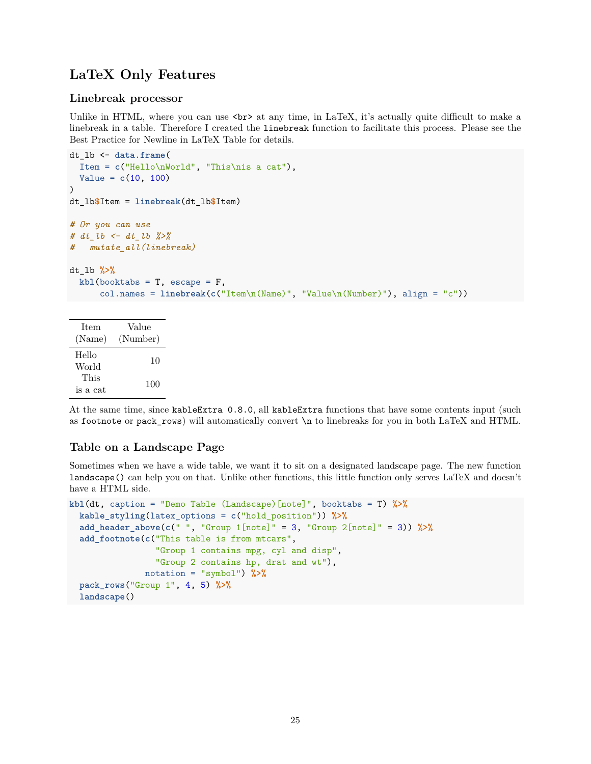# <span id="page-24-0"></span>**LaTeX Only Features**

## <span id="page-24-1"></span>**Linebreak processor**

Unlike in HTML, where you can use  $\text{str} >$  at any time, in LaTeX, it's actually quite difficult to make a linebreak in a table. Therefore I created the linebreak function to facilitate this process. Please see the [Best Practice for Newline in LaTeX Table](http://haozhu233.github.io/kableExtra/best_practice_for_newline_in_latex_table.pdf) for details.

```
dt_lb <- data.frame(
 Item = c("Hello\nWorld", "This\nis a cat"),
  Value = c(10, 100)
)
dt_lb$Item = linebreak(dt_lb$Item)
# Or you can use
# dt_lb <- dt_lb %>%
# mutate_all(linebreak)
dt_lb %>%
 kb1(booktabs = T, escape = F,col.names = linebreak(c("Item\n(Name)", "Value\n(Number)"), align = "c"))
```

| <b>Item</b><br>(Name) | Value<br>(Number) |  |  |
|-----------------------|-------------------|--|--|
| Hello<br>World        | 10                |  |  |
| This<br>is a cat      | 100               |  |  |

At the same time, since kableExtra 0.8.0, all kableExtra functions that have some contents input (such as footnote or pack\_rows) will automatically convert \n to linebreaks for you in both LaTeX and HTML.

# <span id="page-24-2"></span>**Table on a Landscape Page**

Sometimes when we have a wide table, we want it to sit on a designated landscape page. The new function landscape() can help you on that. Unlike other functions, this little function only serves LaTeX and doesn't have a HTML side.

```
kbl(dt, caption = "Demo Table (Landscape)[note]", booktabs = T) %>%
  kable_styling(latex_options = c("hold_position")) %>%
  add_header_above(c(" ", "Group 1[note]" = 3, "Group 2[note]" = 3)) %>%
  add_footnote(c("This table is from mtcars",
                 "Group 1 contains mpg, cyl and disp",
                 "Group 2 contains hp, drat and wt"),
              notation = "symbol") %>%
  pack_rows("Group 1", 4, 5) %>%
  landscape()
```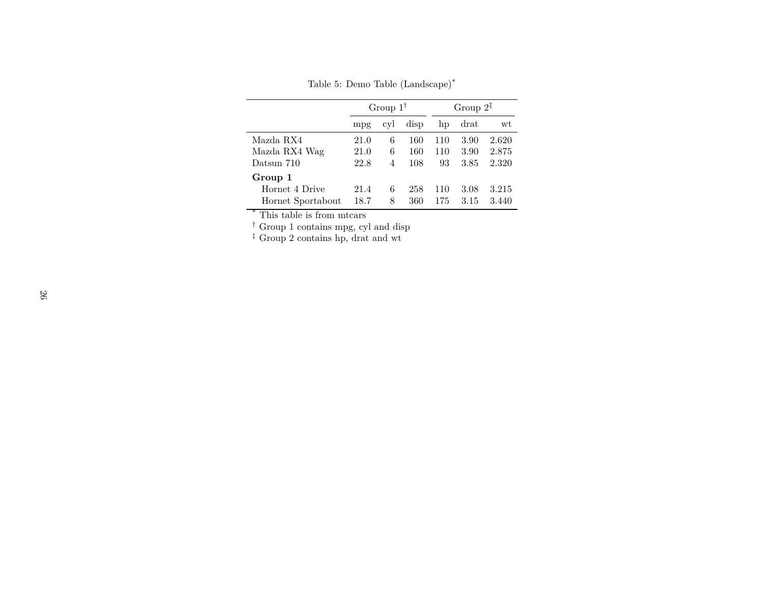Table 5: Demo Table (Landscape)\*

|                   | Group $1^{\dagger}$ |     |      | Group $2^{\ddagger}$ |      |       |
|-------------------|---------------------|-----|------|----------------------|------|-------|
|                   | mpg                 | cyl | disp | hp                   | drat | wt    |
| Mazda RX4         | 21.0                | 6   | 160  | 110                  | 3.90 | 2.620 |
| Mazda RX4 Wag     | 21.0                | 6   | 160  | 110                  | 3.90 | 2.875 |
| Datsun 710        | 22.8                | 4   | 108  | 93                   | 3.85 | 2.320 |
| Group 1           |                     |     |      |                      |      |       |
| Hornet 4 Drive    | 21.4                | 6   | 258  | 110                  | 3.08 | 3.215 |
| Hornet Sportabout | 18.7                | 8   | 360  | 175                  | 3.15 | 3.440 |

\* This table is from mtcars

† Group 1 contains mpg, cyl and disp

‡ Group 2 contains hp, drat and wt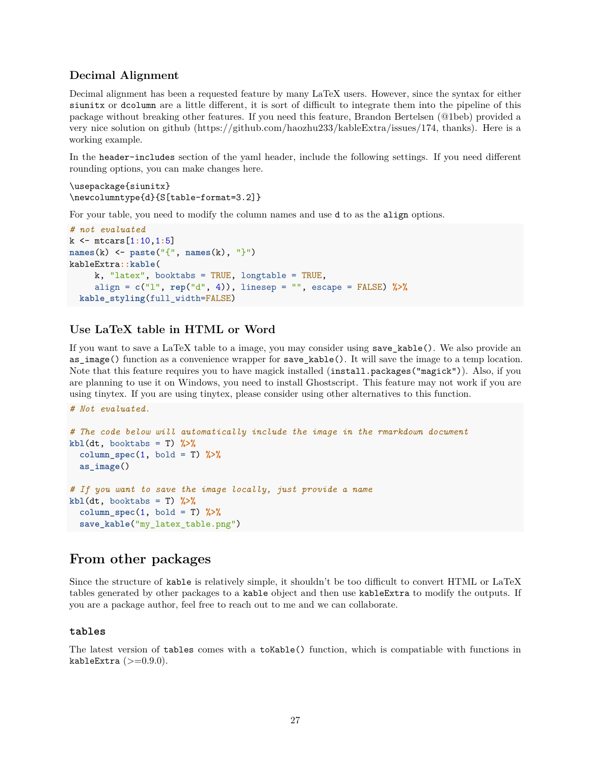# <span id="page-26-0"></span>**Decimal Alignment**

Decimal alignment has been a requested feature by many LaTeX users. However, since the syntax for either siunitx or dcolumn are a little different, it is sort of difficult to integrate them into the pipeline of this package without breaking other features. If you need this feature, Brandon Bertelsen (@1beb) provided a very nice solution on github [\(https://github.com/haozhu233/kableExtra/issues/174,](https://github.com/haozhu233/kableExtra/issues/174) thanks). Here is a working example.

In the header-includes section of the yaml header, include the following settings. If you need different rounding options, you can make changes here.

```
\usepackage{siunitx}
\newcolumntype{d}{S[table-format=3.2]}
```
For your table, you need to modify the column names and use d to as the align options.

```
# not evaluated
k <- mtcars[1:10,1:5]
names(k) <- paste("{", names(k), "}")
kableExtra::kable(
    k, "latex", booktabs = TRUE, longtable = TRUE,
     align = c("l", rep("d", 4)), linesep = "", escape = FALSE) %>%
 kable_styling(full_width=FALSE)
```
# <span id="page-26-1"></span>**Use LaTeX table in HTML or Word**

If you want to save a LaTeX table to a image, you may consider using save\_kable(). We also provide an as\_image() function as a convenience wrapper for save\_kable(). It will save the image to a temp location. Note that this feature requires you to have [magick](https://github.com/ropensci/magick) installed (install.packages("magick")). Also, if you are planning to use it on Windows, you need to install [Ghostscript.](https://www.ghostscript.com/) This feature may not work if you are using tinytex. If you are using tinytex, please consider using other alternatives to this function.

*# Not evaluated.*

```
# The code below will automatically include the image in the rmarkdown document
kb1(dt, booktabs = T) %>%
  column_spec(1, bold = T) %>%
  as_image()
# If you want to save the image locally, just provide a name
kb1(dt, booktabs = T) %>%
  column\_spec(1, bold = T) %>%
  save_kable("my_latex_table.png")
```
# <span id="page-26-2"></span>**From other packages**

Since the structure of kable is relatively simple, it shouldn't be too difficult to convert HTML or LaTeX tables generated by other packages to a kable object and then use kableExtra to modify the outputs. If you are a package author, feel free to reach out to me and we can collaborate.

#### <span id="page-26-3"></span>**tables**

The latest version of [tables](https://CRAN.R-project.org/package=tables) comes with a toKable() function, which is compatiable with functions in kableExtra  $(>=0.9.0)$ .